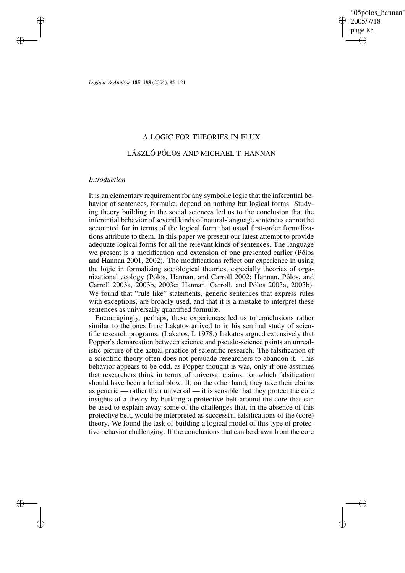"05polos\_hannan" 2005/7/18 page 85 ✐ ✐

✐

✐

*Logique & Analyse* **185–188** (2004), 85–121

## A LOGIC FOR THEORIES IN FLUX

## LÁSZLÓ PÓLOS AND MICHAEL T. HANNAN

## *Introduction*

✐

✐

✐

✐

It is an elementary requirement for any symbolic logic that the inferential behavior of sentences, formulæ, depend on nothing but logical forms. Studying theory building in the social sciences led us to the conclusion that the inferential behavior of several kinds of natural-language sentences cannot be accounted for in terms of the logical form that usual first-order formalizations attribute to them. In this paper we present our latest attempt to provide adequate logical forms for all the relevant kinds of sentences. The language we present is a modification and extension of one presented earlier (Pólos and Hannan 2001, 2002). The modifications reflect our experience in using the logic in formalizing sociological theories, especially theories of organizational ecology (Pólos, Hannan, and Carroll 2002; Hannan, Pólos, and Carroll 2003a, 2003b, 2003c; Hannan, Carroll, and Pólos 2003a, 2003b). We found that "rule like" statements, generic sentences that express rules with exceptions, are broadly used, and that it is a mistake to interpret these sentences as universally quantified formulæ.

Encouragingly, perhaps, these experiences led us to conclusions rather similar to the ones Imre Lakatos arrived to in his seminal study of scientific research programs. (Lakatos, I. 1978.) Lakatos argued extensively that Popper's demarcation between science and pseudo-science paints an unrealistic picture of the actual practice of scientific research. The falsification of a scientific theory often does not persuade researchers to abandon it. This behavior appears to be odd, as Popper thought is was, only if one assumes that researchers think in terms of universal claims, for which falsification should have been a lethal blow. If, on the other hand, they take their claims as generic — rather than universal — it is sensible that they protect the core insights of a theory by building a protective belt around the core that can be used to explain away some of the challenges that, in the absence of this protective belt, would be interpreted as successful falsifications of the (core) theory. We found the task of building a logical model of this type of protective behavior challenging. If the conclusions that can be drawn from the core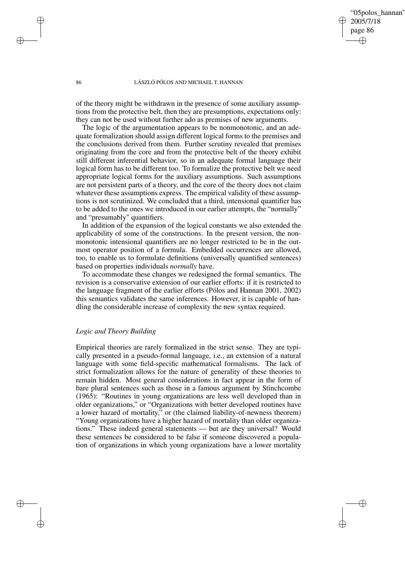"05polos\_hannan" 2005/7/18 page 86 ✐ ✐

✐

✐

#### 86 LÁSZLÓ PÓLOS AND MICHAEL T. HANNAN

of the theory might be withdrawn in the presence of some auxiliary assumptions from the protective belt, then they are presumptions, expectations only: they can not be used without further ado as premises of new arguments.

The logic of the argumentation appears to be nonmonotonic, and an adequate formalization should assign different logical forms to the premises and the conclusions derived from them. Further scrutiny revealed that premises originating from the core and from the protective belt of the theory exhibit still different inferential behavior, so in an adequate formal language their logical form has to be different too. To formalize the protective belt we need appropriate logical forms for the auxiliary assumptions. Such assumptions are not persistent parts of a theory, and the core of the theory does not claim whatever these assumptions express. The empirical validity of these assumptions is not scrutinized. We concluded that a third, intensional quantifier has to be added to the ones we introduced in our earlier attempts, the "normally" and "presumably" quantifiers.

In addition of the expansion of the logical constants we also extended the applicability of some of the constructions. In the present version, the nonmonotonic intensional quantifiers are no longer restricted to be in the outmost operator position of a formula. Embedded occurrences are allowed, too, to enable us to formulate definitions (universally quantified sentences) based on properties individuals *normally* have.

To accommodate these changes we redesigned the formal semantics. The revision is a conservative extension of our earlier efforts: if it is restricted to the language fragment of the earlier efforts (Pólos and Hannan 2001, 2002) this semantics validates the same inferences. However, it is capable of handling the considerable increase of complexity the new syntax required.

## *Logic and Theory Building*

Empirical theories are rarely formalized in the strict sense. They are typically presented in a pseudo-formal language, i.e., an extension of a natural language with some field-specific mathematical formalisms. The lack of strict formalization allows for the nature of generality of these theories to remain hidden. Most general considerations in fact appear in the form of bare plural sentences such as those in a famous argument by Stinchcombe (1965): "Routines in young organizations are less well developed than in older organizations," or "Organizations with better developed routines have a lower hazard of mortality," or (the claimed liability-of-newness theorem) "Young organizations have a higher hazard of mortality than older organizations." These indeed general statements — but are they universal? Would these sentences be considered to be false if someone discovered a population of organizations in which young organizations have a lower mortality

✐

✐

✐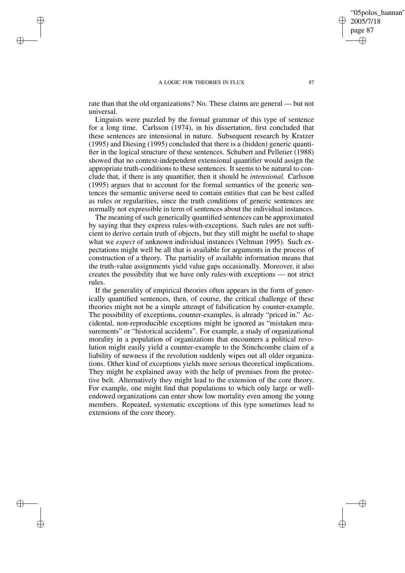✐

✐

✐

✐

rate than that the old organizations? No. These claims are general — but not universal.

Linguists were puzzled by the formal grammar of this type of sentence for a long time. Carlsson (1974), in his dissertation, first concluded that these sentences are intensional in nature. Subsequent research by Kratzer (1995) and Diesing (1995) concluded that there is a (hidden) generic quantifier in the logical structure of these sentences. Schubert and Pelletier (1988) showed that no context-independent extensional quantifier would assign the appropriate truth-conditions to these sentences. It seems to be natural to conclude that, if there is any quantifier, then it should be *intensional.* Carlsson (1995) argues that to account for the formal semantics of the generic sentences the semantic universe need to contain entities that can be best called as rules or regularities, since the truth conditions of generic sentences are normally not expressible in term of sentences about the individual instances.

The meaning of such generically quantified sentences can be approximated by saying that they express rules-with-exceptions. Such rules are not sufficient to derive certain truth of objects, but they still might be useful to shape what we *expect* of unknown individual instances (Veltman 1995). Such expectations might well be all that is available for arguments in the process of construction of a theory. The partiality of available information means that the truth-value assignments yield value gaps occasionally. Moreover, it also creates the possibility that we have only rules-with exceptions — not strict rules.

If the generality of empirical theories often appears in the form of generically quantified sentences, then, of course, the critical challenge of these theories might not be a simple attempt of falsification by counter-example. The possibility of exceptions, counter-examples, is already "priced in." Accidental, non-reproducible exceptions might be ignored as "mistaken measurements" or "historical accidents". For example, a study of organizational morality in a population of organizations that encounters a political revolution might easily yield a counter-example to the Stinchcombe claim of a liability of newness if the revolution suddenly wipes out all older organizations. Other kind of exceptions yields more serious theoretical implications. They might be explained away with the help of premises from the protective belt. Alternatively they might lead to the extension of the core theory. For example, one might find that populations to which only large or wellendowed organizations can enter show low mortality even among the young members. Repeated, systematic exceptions of this type sometimes lead to extensions of the core theory.

"05polos\_hannan"

2005/7/18 page 87

✐

✐

✐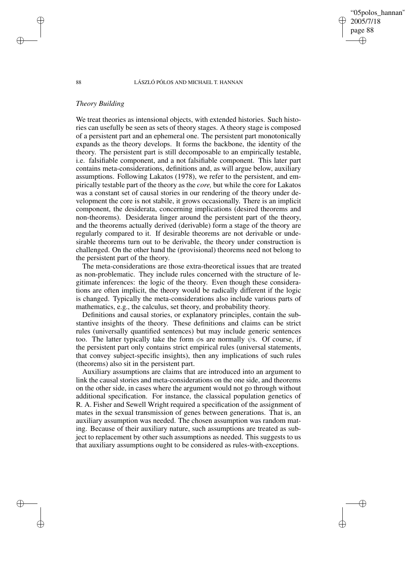05polos\_hannan' 2005/7/18 page 88 ✐ ✐

✐

✐

#### 88 LÁSZLÓ PÓLOS AND MICHAEL T. HANNAN

## *Theory Building*

We treat theories as intensional objects, with extended histories. Such histories can usefully be seen as sets of theory stages. A theory stage is composed of a persistent part and an ephemeral one. The persistent part monotonically expands as the theory develops. It forms the backbone, the identity of the theory. The persistent part is still decomposable to an empirically testable, i.e. falsifiable component, and a not falsifiable component. This later part contains meta-considerations, definitions and, as will argue below, auxiliary assumptions. Following Lakatos (1978), we refer to the persistent, and empirically testable part of the theory as the *core,* but while the core for Lakatos was a constant set of causal stories in our rendering of the theory under development the core is not stabile, it grows occasionally. There is an implicit component, the desiderata, concerning implications (desired theorems and non-theorems). Desiderata linger around the persistent part of the theory, and the theorems actually derived (derivable) form a stage of the theory are regularly compared to it. If desirable theorems are not derivable or undesirable theorems turn out to be derivable, the theory under construction is challenged. On the other hand the (provisional) theorems need not belong to the persistent part of the theory.

The meta-considerations are those extra-theoretical issues that are treated as non-problematic. They include rules concerned with the structure of legitimate inferences: the logic of the theory. Even though these considerations are often implicit, the theory would be radically different if the logic is changed. Typically the meta-considerations also include various parts of mathematics, e.g., the calculus, set theory, and probability theory.

Definitions and causal stories, or explanatory principles, contain the substantive insights of the theory. These definitions and claims can be strict rules (universally quantified sentences) but may include generic sentences too. The latter typically take the form  $\phi$ s are normally  $\psi$ s. Of course, if the persistent part only contains strict empirical rules (universal statements, that convey subject-specific insights), then any implications of such rules (theorems) also sit in the persistent part.

Auxiliary assumptions are claims that are introduced into an argument to link the causal stories and meta-considerations on the one side, and theorems on the other side, in cases where the argument would not go through without additional specification. For instance, the classical population genetics of R. A. Fisher and Sewell Wright required a specification of the assignment of mates in the sexual transmission of genes between generations. That is, an auxiliary assumption was needed. The chosen assumption was random mating. Because of their auxiliary nature, such assumptions are treated as subject to replacement by other such assumptions as needed. This suggests to us that auxiliary assumptions ought to be considered as rules-with-exceptions.

✐

✐

✐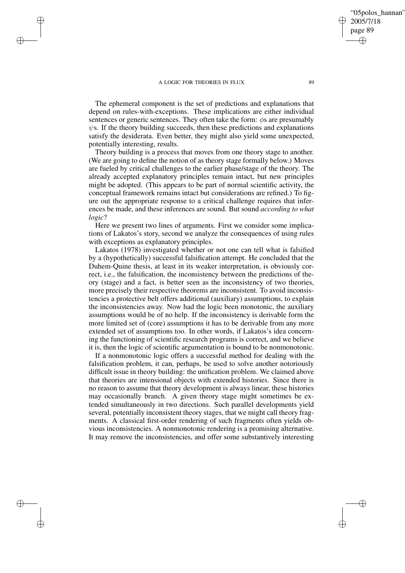✐

✐

✐

✐

The ephemeral component is the set of predictions and explanations that depend on rules-with-exceptions. These implications are either individual sentences or generic sentences. They often take the form:  $\phi$ s are presumably  $\psi$ s. If the theory building succeeds, then these predictions and explanations satisfy the desiderata. Even better, they might also yield some unexpected, potentially interesting, results.

Theory building is a process that moves from one theory stage to another. (We are going to define the notion of as theory stage formally below.) Moves are fueled by critical challenges to the earlier phase/stage of the theory. The already accepted explanatory principles remain intact, but new principles might be adopted. (This appears to be part of normal scientific activity, the conceptual framework remains intact but considerations are refined.) To figure out the appropriate response to a critical challenge requires that inferences be made, and these inferences are sound. But sound *according to what logic*?

Here we present two lines of arguments. First we consider some implications of Lakatos's story, second we analyze the consequences of using rules with exceptions as explanatory principles.

Lakatos (1978) investigated whether or not one can tell what is falsified by a (hypothetically) successful falsification attempt. He concluded that the Duhem-Quine thesis, at least in its weaker interpretation, is obviously correct, i.e., the falsification, the inconsistency between the predictions of theory (stage) and a fact, is better seen as the inconsistency of two theories, more precisely their respective theorems are inconsistent. To avoid inconsistencies a protective belt offers additional (auxiliary) assumptions, to explain the inconsistencies away. Now had the logic been monotonic, the auxiliary assumptions would be of no help. If the inconsistency is derivable form the more limited set of (core) assumptions it has to be derivable from any more extended set of assumptions too. In other words, if Lakatos's idea concerning the functioning of scientific research programs is correct, and we believe it is, then the logic of scientific argumentation is bound to be nonmonotonic.

If a nonmonotonic logic offers a successful method for dealing with the falsification problem, it can, perhaps, be used to solve another notoriously difficult issue in theory building: the unification problem. We claimed above that theories are intensional objects with extended histories. Since there is no reason to assume that theory development is always linear, these histories may occasionally branch. A given theory stage might sometimes be extended simultaneously in two directions. Such parallel developments yield several, potentially inconsistent theory stages, that we might call theory fragments. A classical first-order rendering of such fragments often yields obvious inconsistencies. A nonmonotonic rendering is a promising alternative. It may remove the inconsistencies, and offer some substantively interesting

"05polos\_hannan"

2005/7/18 page 89

✐

✐

✐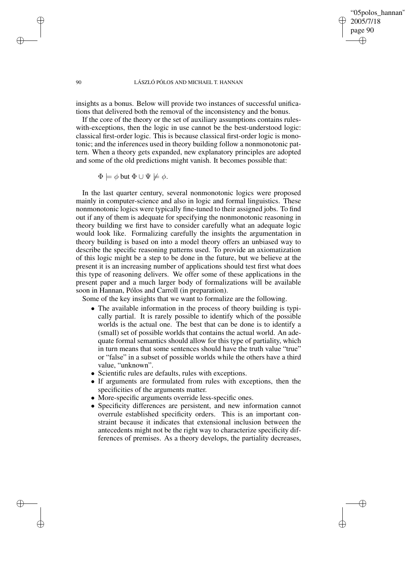"05polos\_hannan" 2005/7/18 page 90 ✐ ✐

✐

✐

### 90 LÁSZLÓ PÓLOS AND MICHAEL T. HANNAN

insights as a bonus. Below will provide two instances of successful unifications that delivered both the removal of the inconsistency and the bonus.

If the core of the theory or the set of auxiliary assumptions contains ruleswith-exceptions, then the logic in use cannot be the best-understood logic: classical first-order logic. This is because classical first-order logic is monotonic; and the inferences used in theory building follow a nonmonotonic pattern. When a theory gets expanded, new explanatory principles are adopted and some of the old predictions might vanish. It becomes possible that:

 $\Phi \models \phi$  but  $\Phi \cup \Psi \not\models \phi$ .

In the last quarter century, several nonmonotonic logics were proposed mainly in computer-science and also in logic and formal linguistics. These nonmonotonic logics were typically fine-tuned to their assigned jobs. To find out if any of them is adequate for specifying the nonmonotonic reasoning in theory building we first have to consider carefully what an adequate logic would look like. Formalizing carefully the insights the argumentation in theory building is based on into a model theory offers an unbiased way to describe the specific reasoning patterns used. To provide an axiomatization of this logic might be a step to be done in the future, but we believe at the present it is an increasing number of applications should test first what does this type of reasoning delivers. We offer some of these applications in the present paper and a much larger body of formalizations will be available soon in Hannan, Pólos and Carroll (in preparation).

Some of the key insights that we want to formalize are the following.

- The available information in the process of theory building is typically partial. It is rarely possible to identify which of the possible worlds is the actual one. The best that can be done is to identify a (small) set of possible worlds that contains the actual world. An adequate formal semantics should allow for this type of partiality, which in turn means that some sentences should have the truth value "true" or "false" in a subset of possible worlds while the others have a third value, "unknown".
- Scientific rules are defaults, rules with exceptions.
- If arguments are formulated from rules with exceptions, then the specificities of the arguments matter.
- More-specific arguments override less-specific ones.
- Specificity differences are persistent, and new information cannot overrule established specificity orders. This is an important constraint because it indicates that extensional inclusion between the antecedents might not be the right way to characterize specificity differences of premises. As a theory develops, the partiality decreases,

✐

✐

✐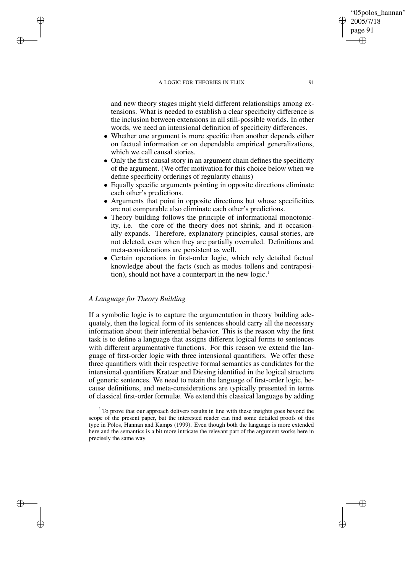and new theory stages might yield different relationships among extensions. What is needed to establish a clear specificity difference is the inclusion between extensions in all still-possible worlds. In other words, we need an intensional definition of specificity differences.

- Whether one argument is more specific than another depends either on factual information or on dependable empirical generalizations, which we call causal stories.
- Only the first causal story in an argument chain defines the specificity of the argument. (We offer motivation for this choice below when we define specificity orderings of regularity chains)
- Equally specific arguments pointing in opposite directions eliminate each other's predictions.
- Arguments that point in opposite directions but whose specificities are not comparable also eliminate each other's predictions.
- Theory building follows the principle of informational monotonicity, i.e. the core of the theory does not shrink, and it occasionally expands. Therefore, explanatory principles, causal stories, are not deleted, even when they are partially overruled. Definitions and meta-considerations are persistent as well.
- Certain operations in first-order logic, which rely detailed factual knowledge about the facts (such as modus tollens and contraposition), should not have a counterpart in the new logic.<sup>1</sup>

## *A Language for Theory Building*

✐

✐

✐

✐

If a symbolic logic is to capture the argumentation in theory building adequately, then the logical form of its sentences should carry all the necessary information about their inferential behavior. This is the reason why the first task is to define a language that assigns different logical forms to sentences with different argumentative functions. For this reason we extend the language of first-order logic with three intensional quantifiers. We offer these three quantifiers with their respective formal semantics as candidates for the intensional quantifiers Kratzer and Diesing identified in the logical structure of generic sentences. We need to retain the language of first-order logic, because definitions, and meta-considerations are typically presented in terms of classical first-order formulæ. We extend this classical language by adding

 $1$ <sup>1</sup> To prove that our approach delivers results in line with these insights goes beyond the scope of the present paper, but the interested reader can find some detailed proofs of this type in Pólos, Hannan and Kamps (1999). Even though both the language is more extended here and the semantics is a bit more intricate the relevant part of the argument works here in precisely the same way

"05polos\_hannan"

2005/7/18 page 91

✐

✐

✐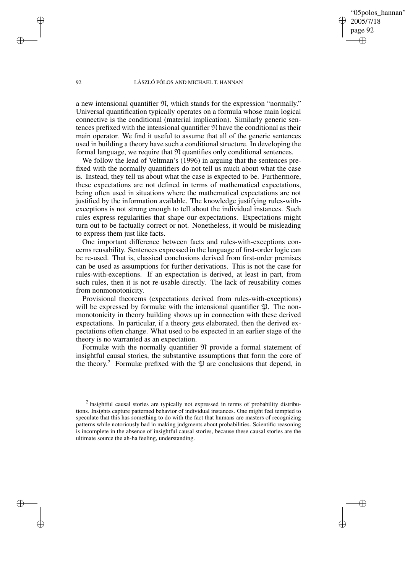"05polos\_hannan" 2005/7/18 page 92 ✐ ✐

✐

✐

#### 92 LÁSZLÓ PÓLOS AND MICHAEL T. HANNAN

a new intensional quantifier  $\mathfrak{N}$ , which stands for the expression "normally." Universal quantification typically operates on a formula whose main logical connective is the conditional (material implication). Similarly generic sentences prefixed with the intensional quantifier  $\mathfrak N$  have the conditional as their main operator. We find it useful to assume that all of the generic sentences used in building a theory have such a conditional structure. In developing the formal language, we require that  $\mathfrak N$  quantifies only conditional sentences.

We follow the lead of Veltman's (1996) in arguing that the sentences prefixed with the normally quantifiers do not tell us much about what the case is. Instead, they tell us about what the case is expected to be. Furthermore, these expectations are not defined in terms of mathematical expectations, being often used in situations where the mathematical expectations are not justified by the information available. The knowledge justifying rules-withexceptions is not strong enough to tell about the individual instances. Such rules express regularities that shape our expectations. Expectations might turn out to be factually correct or not. Nonetheless, it would be misleading to express them just like facts.

One important difference between facts and rules-with-exceptions concerns reusability. Sentences expressed in the language of first-order logic can be re-used. That is, classical conclusions derived from first-order premises can be used as assumptions for further derivations. This is not the case for rules-with-exceptions. If an expectation is derived, at least in part, from such rules, then it is not re-usable directly. The lack of reusability comes from nonmonotonicity.

Provisional theorems (expectations derived from rules-with-exceptions) will be expressed by formulæ with the intensional quantifier  $\mathfrak{P}$ . The nonmonotonicity in theory building shows up in connection with these derived expectations. In particular, if a theory gets elaborated, then the derived expectations often change. What used to be expected in an earlier stage of the theory is no warranted as an expectation.

Formulæ with the normally quantifier  $\mathfrak N$  provide a formal statement of insightful causal stories, the substantive assumptions that form the core of the theory.<sup>2</sup> Formulæ prefixed with the  $\mathfrak P$  are conclusions that depend, in

✐

✐

✐

 $2$ Insightful causal stories are typically not expressed in terms of probability distributions. Insights capture patterned behavior of individual instances. One might feel tempted to speculate that this has something to do with the fact that humans are masters of recognizing patterns while notoriously bad in making judgments about probabilities. Scientific reasoning is incomplete in the absence of insightful causal stories, because these causal stories are the ultimate source the ah-ha feeling, understanding.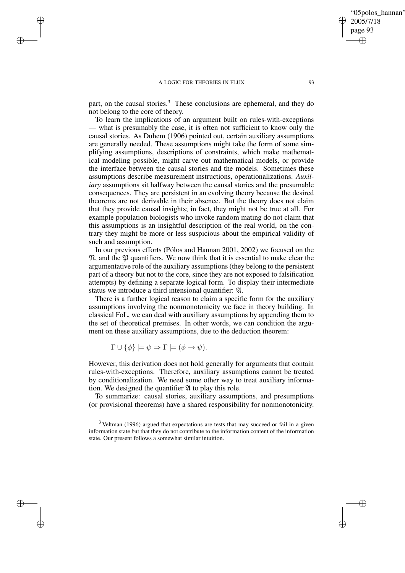✐

✐

✐

✐

part, on the causal stories.<sup>3</sup> These conclusions are ephemeral, and they do not belong to the core of theory.

To learn the implications of an argument built on rules-with-exceptions — what is presumably the case, it is often not sufficient to know only the causal stories. As Duhem (1906) pointed out, certain auxiliary assumptions are generally needed. These assumptions might take the form of some simplifying assumptions, descriptions of constraints, which make mathematical modeling possible, might carve out mathematical models, or provide the interface between the causal stories and the models. Sometimes these assumptions describe measurement instructions, operationalizations. *Auxiliary* assumptions sit halfway between the causal stories and the presumable consequences. They are persistent in an evolving theory because the desired theorems are not derivable in their absence. But the theory does not claim that they provide causal insights; in fact, they might not be true at all. For example population biologists who invoke random mating do not claim that this assumptions is an insightful description of the real world, on the contrary they might be more or less suspicious about the empirical validity of such and assumption.

In our previous efforts (Pólos and Hannan 2001, 2002) we focused on the  $\mathfrak{N}$ , and the  $\mathfrak{P}$  quantifiers. We now think that it is essential to make clear the argumentative role of the auxiliary assumptions (they belong to the persistent part of a theory but not to the core, since they are not exposed to falsification attempts) by defining a separate logical form. To display their intermediate status we introduce a third intensional quantifier: A.

There is a further logical reason to claim a specific form for the auxiliary assumptions involving the nonmonotonicity we face in theory building. In classical FoL, we can deal with auxiliary assumptions by appending them to the set of theoretical premises. In other words, we can condition the argument on these auxiliary assumptions, due to the deduction theorem:

$$
\Gamma \cup \{\phi\} \models \psi \Rightarrow \Gamma \models (\phi \rightarrow \psi).
$$

However, this derivation does not hold generally for arguments that contain rules-with-exceptions. Therefore, auxiliary assumptions cannot be treated by conditionalization. We need some other way to treat auxiliary information. We designed the quantifier  $\mathfrak A$  to play this role.

To summarize: causal stories, auxiliary assumptions, and presumptions (or provisional theorems) have a shared responsibility for nonmonotonicity.

"05polos\_hannan"

2005/7/18 page 93

✐

✐

✐

 $3$  Veltman (1996) argued that expectations are tests that may succeed or fail in a given information state but that they do not contribute to the information content of the information state. Our present follows a somewhat similar intuition.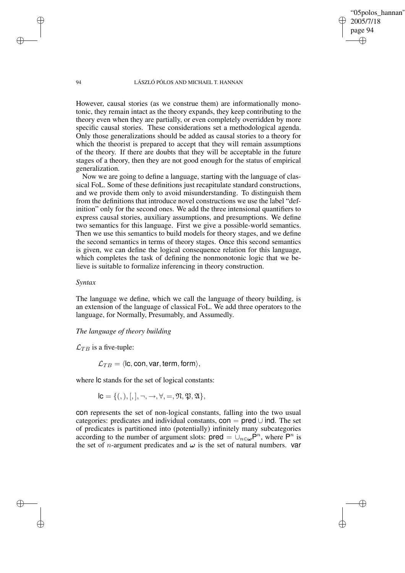'05polos\_hannan' 2005/7/18 page 94 ✐ ✐

✐

✐

94 LÁSZLÓ PÓLOS AND MICHAEL T. HANNAN

However, causal stories (as we construe them) are informationally monotonic, they remain intact as the theory expands, they keep contributing to the theory even when they are partially, or even completely overridden by more specific causal stories. These considerations set a methodological agenda. Only those generalizations should be added as causal stories to a theory for which the theorist is prepared to accept that they will remain assumptions of the theory. If there are doubts that they will be acceptable in the future stages of a theory, then they are not good enough for the status of empirical generalization.

Now we are going to define a language, starting with the language of classical FoL. Some of these definitions just recapitulate standard constructions, and we provide them only to avoid misunderstanding. To distinguish them from the definitions that introduce novel constructions we use the label "definition" only for the second ones. We add the three intensional quantifiers to express causal stories, auxiliary assumptions, and presumptions. We define two semantics for this language. First we give a possible-world semantics. Then we use this semantics to build models for theory stages, and we define the second semantics in terms of theory stages. Once this second semantics is given, we can define the logical consequence relation for this language, which completes the task of defining the nonmonotonic logic that we believe is suitable to formalize inferencing in theory construction.

## *Syntax*

The language we define, which we call the language of theory building, is an extension of the language of classical FoL. We add three operators to the language, for Normally, Presumably, and Assumedly.

## *The language of theory building*

 $\mathcal{L}_{TR}$  is a five-tuple:

 $\mathcal{L}_{TB} = \langle$ lc, con, var, term, form $\rangle$ ,

where  $\alpha$  stands for the set of logical constants:

 $\mathsf{IC} = \{(),\,|,|, \neg, \rightarrow, \forall, =, \mathfrak{N}, \mathfrak{P}, \mathfrak{A}\},\$ 

con represents the set of non-logical constants, falling into the two usual categories: predicates and individual constants,  $con = pred \cup ind$ . The set of predicates is partitioned into (potentially) infinitely many subcategories according to the number of argument slots:  $pred = \bigcup_{n \in \omega} P^n$ , where  $P^n$  is the set of *n*-argument predicates and  $\omega$  is the set of natural numbers. **var** 

✐

✐

✐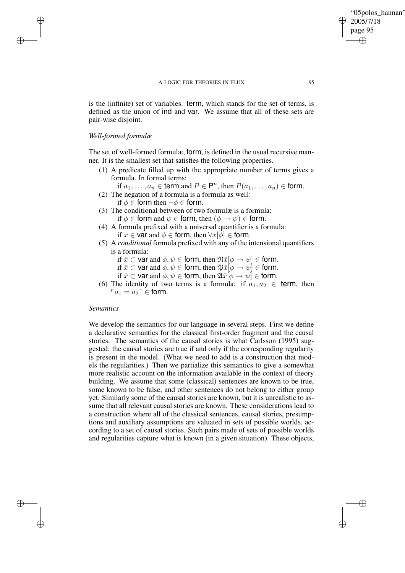is the (infinite) set of variables. term, which stands for the set of terms, is defined as the union of ind and var. We assume that all of these sets are pair-wise disjoint.

## *Well-formed formulæ*

✐

✐

✐

✐

The set of well-formed formulæ, form, is defined in the usual recursive manner. It is the smallest set that satisfies the following properties.

(1) A predicate filled up with the appropriate number of terms gives a formula. In formal terms:

if  $a_1, \ldots, a_n \in \text{term}$  and  $P \in \mathsf{P}^n$ , then  $P(a_1, \ldots, a_n) \in \text{form}$ .

- (2) The negation of a formula is a formula as well: if  $\phi \in$  form then  $\neg \phi \in$  form.
- (3) The conditional between of two formulæ is a formula: if  $\phi \in$  form and  $\psi \in$  form, then  $(\phi \to \psi) \in$  form.
- (4) A formula prefixed with a universal quantifier is a formula: if  $x \in \text{var}$  and  $\phi \in \text{form}$ , then  $\forall x[\overline{\phi}] \in \text{form}$ .
- (5) A *conditional* formula prefixed with any of the intensional quantifiers is a formula:
	- if  $\bar{x} \subset \text{var}$  and  $\phi, \psi \in \text{form}$ , then  $\mathfrak{N}\bar{x}[\phi \to \psi] \in \text{form}$ .
	- if  $\bar{x} \subset \text{var}$  and  $\phi, \psi \in \text{form}$ , then  $\mathfrak{P}\bar{x}[\phi \to \psi] \in \text{form}$ .
	- if  $\bar{x} \subset \text{var}$  and  $\phi, \psi \in \text{form}$ , then  $\mathfrak{A}\bar{x}[\phi \to \psi] \in \text{form}$ .
- (6) The identity of two terms is a formula: if  $a_1, a_2 \in \text{term}$ , then  $a_1 = a_2$ <sup> $\overline{\phantom{a}}$ </sup>  $\in$  form.

## *Semantics*

We develop the semantics for our language in several steps. First we define a declarative semantics for the classical first-order fragment and the causal stories. The semantics of the causal stories is what Carlsson (1995) suggested: the causal stories are true if and only if the corresponding regularity is present in the model. (What we need to add is a construction that models the regularities.) Then we partialize this semantics to give a somewhat more realistic account on the information available in the context of theory building. We assume that some (classical) sentences are known to be true, some known to be false, and other sentences do not belong to either group yet. Similarly some of the causal stories are known, but it is unrealistic to assume that all relevant causal stories are known. These considerations lead to a construction where all of the classical sentences, causal stories, presumptions and auxiliary assumptions are valuated in sets of possible worlds, according to a set of causal stories. Such pairs made of sets of possible worlds and regularities capture what is known (in a given situation). These objects,

"05polos\_hannan"

2005/7/18 page 95

✐

✐

✐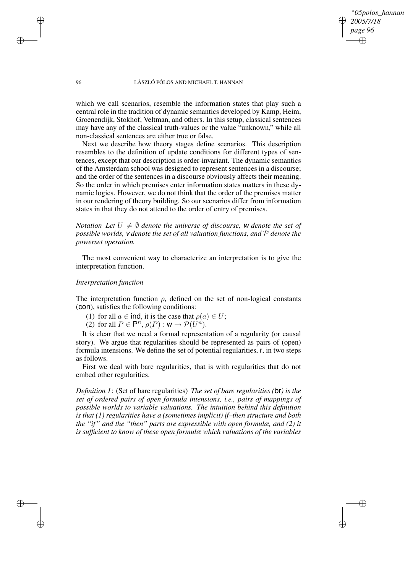*"05polos\_hannan" 2005/7/18 page 96* ✐ ✐

✐

✐

#### 96 LÁSZLÓ PÓLOS AND MICHAEL T. HANNAN

which we call scenarios, resemble the information states that play such a central role in the tradition of dynamic semantics developed by Kamp, Heim, Groenendijk, Stokhof, Veltman, and others. In this setup, classical sentences may have any of the classical truth-values or the value "unknown," while all non-classical sentences are either true or false.

Next we describe how theory stages define scenarios. This description resembles to the definition of update conditions for different types of sentences, except that our description is order-invariant. The dynamic semantics of the Amsterdam school was designed to represent sentences in a discourse; and the order of the sentences in a discourse obviously affects their meaning. So the order in which premises enter information states matters in these dynamic logics. However, we do not think that the order of the premises matter in our rendering of theory building. So our scenarios differ from information states in that they do not attend to the order of entry of premises.

*Notation Let*  $U \neq \emptyset$  *denote the universe of discourse,* w *denote the set of possible worlds,* v *denote the set of all valuation functions, and* P *denote the powerset operation.*

The most convenient way to characterize an interpretation is to give the interpretation function.

## *Interpretation function*

The interpretation function  $\rho$ , defined on the set of non-logical constants (con), satisfies the following conditions:

- (1) for all  $a \in \text{ind}$ , it is the case that  $\rho(a) \in U$ ;
- (2) for all  $P \in \mathsf{P}^n$ ,  $\rho(P) : \mathsf{w} \to \mathcal{P}(U^n)$ .

It is clear that we need a formal representation of a regularity (or causal story). We argue that regularities should be represented as pairs of (open) formula intensions. We define the set of potential regularities, r, in two steps as follows.

First we deal with bare regularities, that is with regularities that do not embed other regularities.

*Definition 1*: (Set of bare regularities) *The set of bare regularities (*br*) is the set of ordered pairs of open formula intensions, i.e., pairs of mappings of possible worlds to variable valuations. The intuition behind this definition is that (1) regularities have a (sometimes implicit) if–then structure and both the "if" and the "then" parts are expressible with open formulæ, and (2) it is sufficient to know of these open formulæ which valuations of the variables*

✐

✐

✐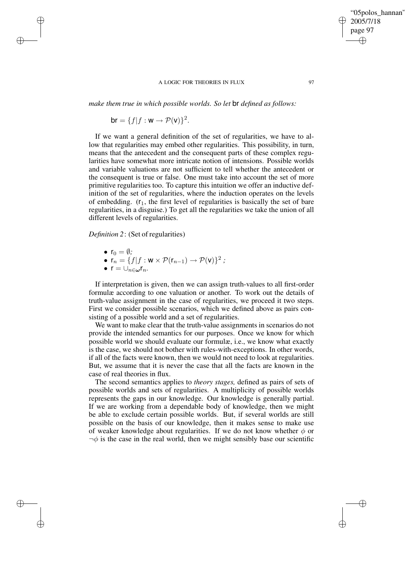*make them true in which possible worlds. So let* br *defined as follows:*

br =  ${f | f : w \rightarrow P(v)}^2$ .

If we want a general definition of the set of regularities, we have to allow that regularities may embed other regularities. This possibility, in turn, means that the antecedent and the consequent parts of these complex regularities have somewhat more intricate notion of intensions. Possible worlds and variable valuations are not sufficient to tell whether the antecedent or the consequent is true or false. One must take into account the set of more primitive regularities too. To capture this intuition we offer an inductive definition of the set of regularities, where the induction operates on the levels of embedding.  $(r_1, t_1)$  the first level of regularities is basically the set of bare regularities, in a disguise.) To get all the regularities we take the union of all different levels of regularities.

## *Definition 2*: (Set of regularities)

•  $r_0 = \emptyset$ ;

✐

✐

✐

✐

- $\mathsf{r}_n = \{f | f : \mathsf{w} \times \mathcal{P}(\mathsf{r}_{n-1}) \to \mathcal{P}(\mathsf{v})\}^2$ ;
- $\bullet$   $\mathsf{r} = \cup_{n \in \omega} \mathsf{r}_n$ .

If interpretation is given, then we can assign truth-values to all first-order formulæ according to one valuation or another. To work out the details of truth-value assignment in the case of regularities, we proceed it two steps. First we consider possible scenarios, which we defined above as pairs consisting of a possible world and a set of regularities.

We want to make clear that the truth-value assignments in scenarios do not provide the intended semantics for our purposes. Once we know for which possible world we should evaluate our formulæ, i.e., we know what exactly is the case, we should not bother with rules-with-exceptions. In other words, if all of the facts were known, then we would not need to look at regularities. But, we assume that it is never the case that all the facts are known in the case of real theories in flux.

The second semantics applies to *theory stages,* defined as pairs of sets of possible worlds and sets of regularities. A multiplicity of possible worlds represents the gaps in our knowledge. Our knowledge is generally partial. If we are working from a dependable body of knowledge, then we might be able to exclude certain possible worlds. But, if several worlds are still possible on the basis of our knowledge, then it makes sense to make use of weaker knowledge about regularities. If we do not know whether  $\phi$  or  $\neg \phi$  is the case in the real world, then we might sensibly base our scientific

'05polos\_hannan'

2005/7/18 page 97

✐

✐

✐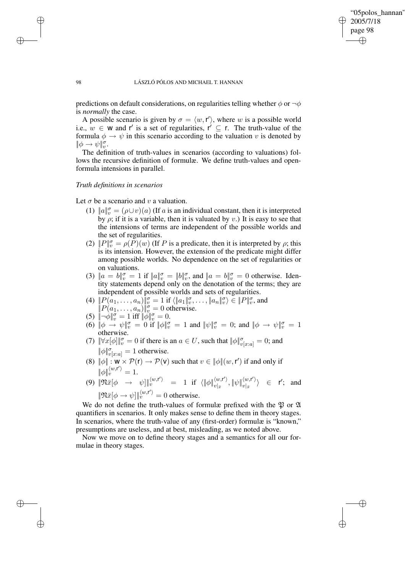✐

✐

### 98 LÁSZLÓ PÓLOS AND MICHAEL T. HANNAN

predictions on default considerations, on regularities telling whether  $\phi$  or  $\neg \phi$ is *normally* the case.

A possible scenario is given by  $\sigma = \langle w, r' \rangle$ , where w is a possible world i.e.,  $w \in W$  and r' is a set of regularities, r'  $\subseteq$  r. The truth-value of the formula  $\phi \rightarrow \psi$  in this scenario according to the valuation v is denoted by  $\|\phi\rightarrow\psi\|_{v}^{\sigma}.$ 

The definition of truth-values in scenarios (according to valuations) follows the recursive definition of formulæ. We define truth-values and openformula intensions in parallel.

## *Truth definitions in scenarios*

Let  $\sigma$  be a scenario and v a valuation.

- (1)  $||a||_v^{\sigma} = (\rho \cup v)(a)$  (If a is an individual constant, then it is interpreted by  $\rho$ ; if it is a variable, then it is valuated by v.) It is easy to see that the intensions of terms are independent of the possible worlds and the set of regularities.
- (2)  $||P||_v^{\sigma} = \rho(\overline{P})(w)$  (If P is a predicate, then it is interpreted by  $\rho$ ; this is its intension. However, the extension of the predicate might differ among possible worlds. No dependence on the set of regularities or on valuations.
- (3)  $\|a = b\|_v^{\sigma} = 1$  if  $\|a\|_v^{\sigma} = \|b\|_v^{\sigma}$ , and  $\|a = b\|_v^{\sigma} = 0$  otherwise. Identity statements depend only on the denotation of the terms; they are independent of possible worlds and sets of regularities.
- (4)  $\|P(\tilde{a}_1,\ldots,a_n)\|_v^\sigma=1$  if  $\langle \|a_1\|_v^\sigma,\ldots,\|a_n\|_v^\sigma\rangle\in \|P\|_v^\sigma,$  and
- $||P(a_1, \ldots, a_n)||_v^{\sigma} = 0$  otherwise.
- (5)  $\|\neg \phi\|_{v}^{\sigma} = 1$  iff  $\|\phi\|_{v}^{\sigma} = 0$ .
- (6)  $\|\phi \rightarrow \psi\|_{v}^{\sigma} = 0$  if  $\|\phi\|_{v}^{\sigma} = 1$  and  $\|\psi\|_{v}^{\sigma} = 0$ ; and  $\|\phi \rightarrow \psi\|_{v}^{\sigma} = 1$ otherwise.
- (7)  $\|\forall x[\phi]\|_v^{\sigma} = 0$  if there is an  $a \in U$ , such that  $\|\phi\|_{v[x:a]}^{\sigma} = 0$ ; and  $\|\phi\|_{v[x:a]}^{\sigma} = 1$  otherwise.
- (8)  $\|\phi\| : \mathbf{w} \times \mathcal{P}(\mathbf{r}) \to \mathcal{P}(\mathbf{v})$  such that  $v \in \|\phi\| (w, \mathbf{r}')$  if and only if  $\|\phi\|_{v}^{\langle w,\mathsf{r}'\rangle}=1.$
- (9)  $\|\mathfrak{N}\bar{x}[\phi \rightarrow \psi]\|_v^{\langle w, r'\rangle} = 1$  if  $\langle \|\phi\|_{v}^{\langle w, r'\rangle}$  $\langle w, {\bf r}' \rangle, \|\psi\|_{v|\bar{x}}^{\langle w, {\bf r}' \rangle}$  $\langle w,\mathsf{r}' \rangle \rangle \in \mathsf{r}';$  and  $\|\mathfrak{N}\bar{x}[\phi \to \psi]\|_v^{\langle w, \mathsf{r}'\rangle} = 0$  otherwise.

We do not define the truth-values of formulæ prefixed with the  $\mathfrak P$  or  $\mathfrak A$ quantifiers in scenarios. It only makes sense to define them in theory stages. In scenarios, where the truth-value of any (first-order) formulæ is "known," presumptions are useless, and at best, misleading, as we noted above.

Now we move on to define theory stages and a semantics for all our formulae in theory stages.

✐

✐

✐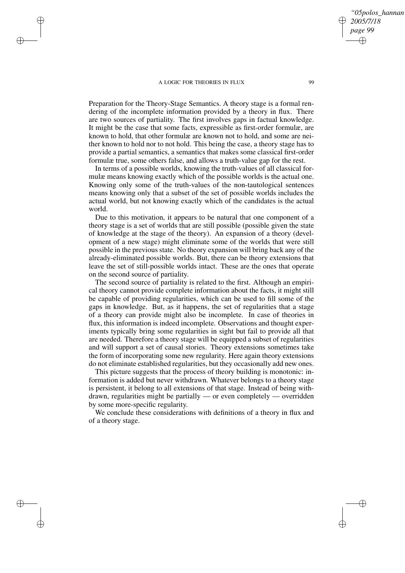✐

✐

✐

✐

Preparation for the Theory-Stage Semantics. A theory stage is a formal rendering of the incomplete information provided by a theory in flux. There are two sources of partiality. The first involves gaps in factual knowledge. It might be the case that some facts, expressible as first-order formulæ, are known to hold, that other formulæ are known not to hold, and some are neither known to hold nor to not hold. This being the case, a theory stage has to provide a partial semantics, a semantics that makes some classical first-order formulæ true, some others false, and allows a truth-value gap for the rest.

In terms of a possible worlds, knowing the truth-values of all classical formulæ means knowing exactly which of the possible worlds is the actual one. Knowing only some of the truth-values of the non-tautological sentences means knowing only that a subset of the set of possible worlds includes the actual world, but not knowing exactly which of the candidates is the actual world.

Due to this motivation, it appears to be natural that one component of a theory stage is a set of worlds that are still possible (possible given the state of knowledge at the stage of the theory). An expansion of a theory (development of a new stage) might eliminate some of the worlds that were still possible in the previous state. No theory expansion will bring back any of the already-eliminated possible worlds. But, there can be theory extensions that leave the set of still-possible worlds intact. These are the ones that operate on the second source of partiality.

The second source of partiality is related to the first. Although an empirical theory cannot provide complete information about the facts, it might still be capable of providing regularities, which can be used to fill some of the gaps in knowledge. But, as it happens, the set of regularities that a stage of a theory can provide might also be incomplete. In case of theories in flux, this information is indeed incomplete. Observations and thought experiments typically bring some regularities in sight but fail to provide all that are needed. Therefore a theory stage will be equipped a subset of regularities and will support a set of causal stories. Theory extensions sometimes take the form of incorporating some new regularity. Here again theory extensions do not eliminate established regularities, but they occasionally add new ones.

This picture suggests that the process of theory building is monotonic: information is added but never withdrawn. Whatever belongs to a theory stage is persistent, it belong to all extensions of that stage. Instead of being withdrawn, regularities might be partially — or even completely — overridden by some more-specific regularity.

We conclude these considerations with definitions of a theory in flux and of a theory stage.

*"05polos\_hannan"*

*2005/7/18 page 99*

✐

✐

✐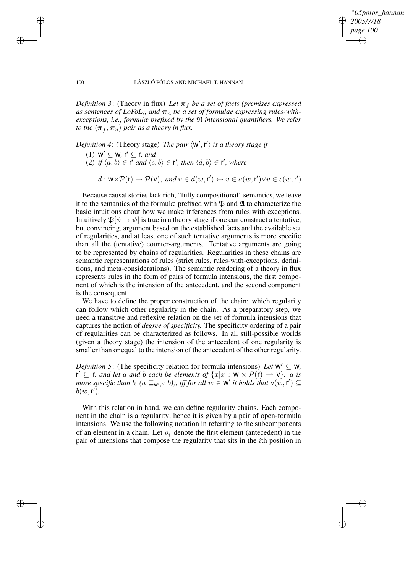*"05polos\_hannan" 2005/7/18 page 100* ✐ ✐

✐

✐

#### 100 LÁSZLÓ PÓLOS AND MICHAEL T. HANNAN

*Definition* 3: (Theory in flux) *Let*  $\pi_f$  *be a set of facts (premises expressed as sentences of LoFoL), and*  $\pi_n$  *be a set of formulae expressing rules-withexceptions, i.e., formulæ prefixed by the* N *intensional quantifiers. We refer to the*  $\langle \pi_f, \pi_n \rangle$  *pair as a theory in flux.* 

*Definition* 4: (Theory stage) *The pair*  $\langle W', r' \rangle$  *is a theory stage if* 

- $(1)$  **w'**  $\subseteq$  **w**, **r'**  $\subseteq$  **r**, *and*
- (2) *if*  $\langle a, b \rangle \in \mathsf{r}'$  *and*  $\langle c, b \rangle \in \mathsf{r}'$ *, then*  $\langle d, b \rangle \in \mathsf{r}'$ *, where*

 $d: \mathbf{W} \times \mathcal{P}(\mathbf{r}) \to \mathcal{P}(\mathbf{V}),$  and  $v \in d(w, \mathbf{r}') \leftrightarrow v \in a(w, \mathbf{r}') \lor v \in c(w, \mathbf{r}').$ 

Because causal stories lack rich, "fully compositional" semantics, we leave it to the semantics of the formulæ prefixed with  $\mathfrak P$  and  $\mathfrak A$  to characterize the basic intuitions about how we make inferences from rules with exceptions. Intuitively  $\mathfrak{P}[\phi \to \psi]$  is true in a theory stage if one can construct a tentative, but convincing, argument based on the established facts and the available set of regularities, and at least one of such tentative arguments is more specific than all the (tentative) counter-arguments. Tentative arguments are going to be represented by chains of regularities. Regularities in these chains are semantic representations of rules (strict rules, rules-with-exceptions, definitions, and meta-considerations). The semantic rendering of a theory in flux represents rules in the form of pairs of formula intensions, the first component of which is the intension of the antecedent, and the second component is the consequent.

We have to define the proper construction of the chain: which regularity can follow which other regularity in the chain. As a preparatory step, we need a transitive and reflexive relation on the set of formula intensions that captures the notion of *degree of specificity.* The specificity ordering of a pair of regularities can be characterized as follows. In all still-possible worlds (given a theory stage) the intension of the antecedent of one regularity is smaller than or equal to the intension of the antecedent of the other regularity.

*Definition* 5: (The specificity relation for formula intensions) *Let*  $w' \subseteq w$ ,  $f' \subseteq f$ *, and let a and b each be elements of*  $\{x|x : w \times P(r) \to v\}$ *. a is more* specific than b,  $(a \sqsubseteq_{w',r'} b)$ , iff for all  $w \in w'$  it holds that  $a(w, r') \subseteq$  $b(w, r').$ 

With this relation in hand, we can define regularity chains. Each component in the chain is a regularity; hence it is given by a pair of open-formula intensions. We use the following notation in referring to the subcomponents of an element in a chain. Let  $\rho_i^1$  denote the first element (antecedent) in the pair of intensions that compose the regularity that sits in the ith position in

✐

✐

✐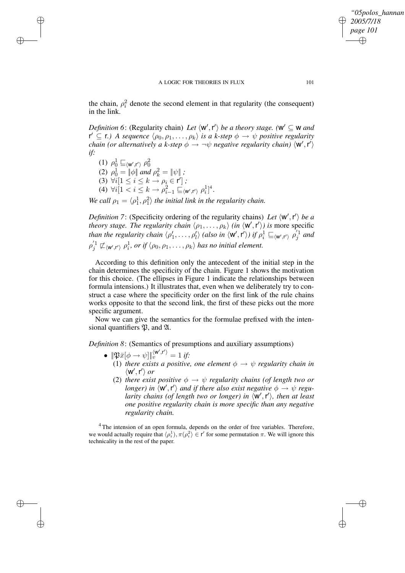✐

*"05polos\_hannan"*

*2005/7/18 page 101*

✐

✐

the chain,  $\rho_i^2$  denote the second element in that regularity (the consequent) in the link.

*Definition* 6: (Regularity chain) *Let*  $\langle w', r' \rangle$  *be a theory stage.*  $(w' \subseteq w$  *and*  $f' \subseteq f$ .) A sequence  $\langle \rho_0, \rho_1, \ldots, \rho_k \rangle$  is a *k*-step  $\phi \to \psi$  positive regularity *chain* (or alternatively a k-step  $\phi \rightarrow \neg \psi$  *negative regularity chain*)  $\langle w', r' \rangle$ *if:*

(1)  $\rho_0^1 \sqsubseteq_{\langle \mathsf{w}', \mathsf{r}' \rangle} \rho_0^2$ (2)  $\rho_0^1 = ||\phi||$  and  $\rho_k^2 = ||\psi||$ ; (3)  $\forall i [1 \leq i \leq k \rightarrow \rho_i \in \mathsf{r}^i]$ ; (4)  $\forall i[1 \lt i \leq k \rightarrow \rho_{i-1}^2 \sqsubseteq_{\langle \mathbf{w}', \mathbf{r}' \rangle} \rho_i^1]^4.$ 

 $\rightarrow$ 

 $\rightarrow$ 

✐

✐

*We* call  $\rho_1 = \langle \rho_1^1, \rho_1^2 \rangle$  the initial link in the regularity chain.

*Definition* 7: (Specificity ordering of the regularity chains) Let  $\langle w', r' \rangle$  be a *theory stage. The regularity chain*  $\langle \rho_1, \ldots, \rho_k \rangle$  *(in*  $\langle \mathbf{w}', \mathbf{r}' \rangle$ ) *is* more specific *than the regularity chain*  $\langle \rho'_1, \ldots, \rho'_l \rangle$  *(also in*  $\langle W', r' \rangle$ ) *if*  $\rho_i^1 \sqsubseteq_{\langle W', r' \rangle} \rho'_j^1$  *and*  $\rho_j^{'1} \not\sqsubset \langle w', r' \rangle \rho_i^1$ , or if  $\langle \rho_0, \rho_1, \ldots, \rho_k \rangle$  has no initial element.

According to this definition only the antecedent of the initial step in the chain determines the specificity of the chain. Figure 1 shows the motivation for this choice. (The ellipses in Figure 1 indicate the relationships between formula intensions.) It illustrates that, even when we deliberately try to construct a case where the specificity order on the first link of the rule chains works opposite to that the second link, the first of these picks out the more specific argument.

Now we can give the semantics for the formulae prefixed with the intensional quantifiers  $\mathfrak{P}$ , and  $\mathfrak{A}$ .

*Definition 8*: (Semantics of presumptions and auxiliary assumptions)

- $\|\mathfrak{P}\bar{x}[\phi \to \psi]\|_v^{\langle \mathsf{w}',\mathsf{r}'\rangle} = 1$  if:
	- (1) *there exists a positive, one element*  $\phi \rightarrow \psi$  *regularity chain in*  $\langle w', r' \rangle$  or
	- (2) *there exist positive*  $\phi \rightarrow \psi$  *regularity chains (of length two or longer)* in  $\langle w', r' \rangle$  and if there also exist negative  $\phi \to \psi$  regu*larity chains* (*of length two or longer*) *in*  $\langle \mathsf{w}', \mathsf{r}' \rangle$ , *then at least one positive regularity chain is more specific than any negative regularity chain.*

 $4$ The intension of an open formula, depends on the order of free variables. Therefore, we would actually require that  $\langle \rho_i^1 \rangle$ ,  $\pi(\rho_i^2) \in \mathsf{r}'$  for some permutation  $\pi$ . We will ignore this technicality in the rest of the paper.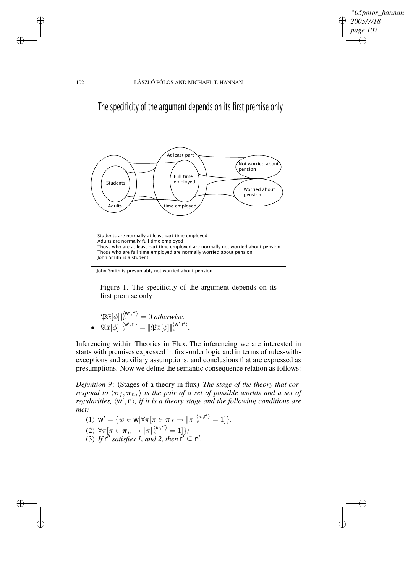✐

✐

102 LÁSZLÓ PÓLOS AND MICHAEL T. HANNAN

The specificity of the argument depends on its first premise only



Students are normally at least part time employed Adults are normally full time employed Those who are at least part time employed are normally not worried about pension Those who are full time employed are normally worried about pension John Smith is a student

John Smith is presumably not worried about pension

Figure 1. The specificity of the argument depends on its first premise only

$$
\|\mathfrak{P}\bar{x}[\phi]\|_v^{\langle \mathsf{w}',r'\rangle} = 0 \text{ otherwise.}
$$

$$
\bullet \|\mathfrak{A}\bar{x}[\phi]\|_v^{\langle \mathsf{w}',r'\rangle} = \|\mathfrak{P}\bar{x}[\phi]\|_v^{\langle \mathsf{w}',r'\rangle}.
$$

Inferencing within Theories in Flux. The inferencing we are interested in starts with premises expressed in first-order logic and in terms of rules-withexceptions and auxiliary assumptions; and conclusions that are expressed as presumptions. Now we define the semantic consequence relation as follows:

*Definition 9*: (Stages of a theory in flux) *The stage of the theory that correspond to*  $\langle \pi_f, \pi_n \rangle$  *is the pair of a set of possible worlds and a set of regularities,*  $\langle w', r' \rangle$ , *if it is a theory stage and the following conditions are met:*

(1) 
$$
\mathbf{W}' = \{ w \in \mathbf{W} | \forall \pi [\pi \in \pi_f \rightarrow \|\pi\|_v^{\langle w, \mathbf{r}' \rangle} = 1] \}.
$$

(2) 
$$
\forall \pi [\pi \in \pi_n \to \|\pi\|_v^{\langle w, \mathbf{r}' \rangle} = 1]\},
$$

(3) If 
$$
\mathbf{r}''
$$
 satisfies 1, and 2, then  $\mathbf{r}' \subseteq \mathbf{r}''$ .

 $\rightarrow$ 

 $\rightarrow$ 

✐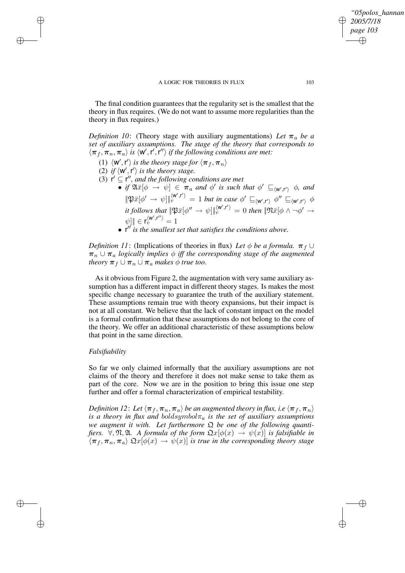The final condition guarantees that the regularity set is the smallest that the theory in flux requires. (We do not want to assume more regularities than the theory in flux requires.)

*Definition* 10: (Theory stage with auxiliary augmentations) Let  $\pi_a$  be a *set of auxiliary assumptions. The stage of the theory that corresponds to*  $\langle \pi_f, \pi_n, \pi_a \rangle$  *is*  $\langle \mathsf{w}', \mathsf{r}', \mathsf{r}'' \rangle$  *if the following conditions are met:* 

- (1)  $\langle W', r' \rangle$  *is the theory stage for*  $\langle \pi_f, \pi_n \rangle$
- (2) if  $\langle W', r' \rangle$  *is the theory stage.*
- (3)  $\mathbf{r}' \subseteq \mathbf{r}''$ , and the following conditions are met
	- $\overline{\bullet}$  *if*  $\mathfrak{A}\bar{x}[\phi \rightarrow \psi] \in \pi_a$  and  $\phi'$  is such that  $\phi' \sqsubseteq_{\langle \mathsf{w}', \mathsf{r}' \rangle} \phi$ , and  $\|\mathfrak{B}\bar{x}[\phi'\to\psi]\|_v^{\langle \mathbf{w}',\mathbf{r}'\rangle}=1$  *but in case*  $\phi'\sqsubseteq_{\langle \mathbf{w}',\mathbf{r}'\rangle}\phi''\sqsubseteq_{\langle \mathbf{w}',\mathbf{r}'\rangle}\phi$ *it* follows that  $\|\mathfrak{P}\bar{x}[\phi'' \to \psi]\|_v^{\langle \mathbf{w}', \mathbf{r}' \rangle} = 0$  then  $\|\mathfrak{N}\bar{x}[\phi \land \neg \phi' \to \phi'$  $\llbracket \psi \rrbracket \in \mathsf{r}_v^{\langle \mathsf{w}',\mathsf{r}'' \rangle }=1$ 
		- r <sup>00</sup> *is the smallest set that satisfies the conditions above.*

*Definition* 11: (Implications of theories in flux) *Let*  $\phi$  *be a formula.*  $\pi_f \cup$  $\pi_n \cup \pi_a$  *logically implies*  $\phi$  *iff the corresponding stage of the augmented theory*  $\pi_f \cup \pi_n \cup \pi_a$  *makes*  $\phi$  *true too.* 

As it obvious from Figure 2, the augmentation with very same auxiliary assumption has a different impact in different theory stages. Is makes the most specific change necessary to guarantee the truth of the auxiliary statement. These assumptions remain true with theory expansions, but their impact is not at all constant. We believe that the lack of constant impact on the model is a formal confirmation that these assumptions do not belong to the core of the theory. We offer an additional characteristic of these assumptions below that point in the same direction.

## *Falsifiability*

 $\rightarrow$ 

 $\rightarrow$ 

✐

✐

So far we only claimed informally that the auxiliary assumptions are not claims of the theory and therefore it does not make sense to take them as part of the core. Now we are in the position to bring this issue one step further and offer a formal characterization of empirical testability.

*Definition 12: Let*  $\langle \pi_f, \pi_n, \pi_a \rangle$  *be an augmented theory in flux, i.e*  $\langle \pi_f, \pi_n \rangle$ *is a theory in flux and boldsymbol* $\pi_a$  *is the set of auxiliary assumptions we augment it with. Let furthermore* Q *be one of the following quantifiers.*  $\forall$ ,  $\Re$ ,  $\Re$ . A *formula of the form*  $\Re(\phi(x)) \rightarrow \psi(x)$  *is falsifiable in*  $\langle \pi_f, \pi_n, \pi_a \rangle$   $\mathfrak{Q}x[\phi(x) \to \psi(x)]$  *is true in the corresponding theory stage* 

*"05polos\_hannan"*

*2005/7/18 page 103*

✐

✐

✐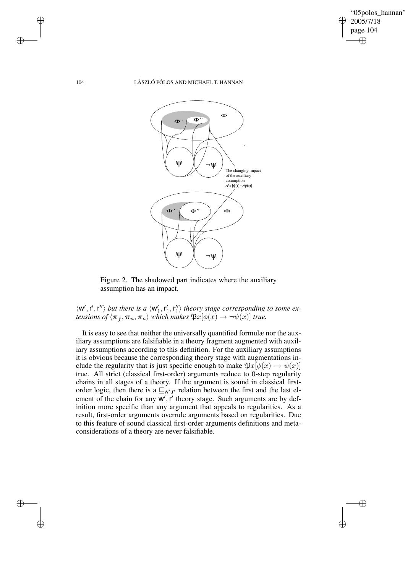

✐

✐

## 104 LÁSZLÓ PÓLOS AND MICHAEL T. HANNAN



Figure 2. The shadowed part indicates where the auxiliary assumption has an impact.

 $\langle W', r', r'' \rangle$  but there is a  $\langle W'_1, r'_1, r''_1 \rangle$  theory stage corresponding to some ex*tensions of*  $\langle \boldsymbol{\pi}_f, \boldsymbol{\pi}_n, \boldsymbol{\pi}_a \rangle$  *which makes*  $\mathfrak{P}x[\phi(x) \to \neg \psi(x)]$  *true.* 

It is easy to see that neither the universally quantified formulæ nor the auxiliary assumptions are falsifiable in a theory fragment augmented with auxiliary assumptions according to this definition. For the auxiliary assumptions it is obvious because the corresponding theory stage with augmentations include the regularity that is just specific enough to make  $\mathfrak{P}x[\phi(x) \to \psi(x)]$ true. All strict (classical first-order) arguments reduce to 0-step regularity chains in all stages of a theory. If the argument is sound in classical firstorder logic, then there is a  $\mathcal{L}_{w',r'}$  relation between the first and the last element of the chain for any  $w'$ ,  $r'$  theory stage. Such arguments are by definition more specific than any argument that appeals to regularities. As a result, first-order arguments overrule arguments based on regularities. Due to this feature of sound classical first-order arguments definitions and metaconsiderations of a theory are never falsifiable.

 $\rightarrow$ 

 $\rightarrow$ 

✐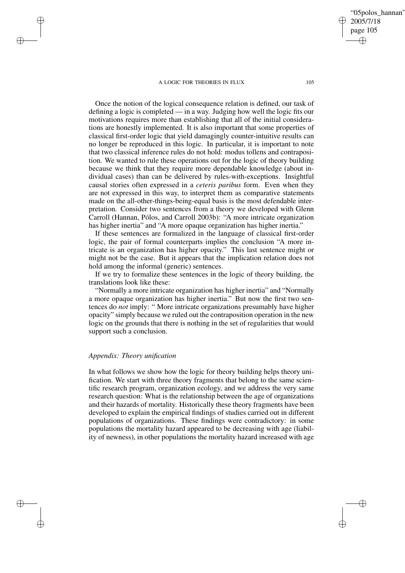Once the notion of the logical consequence relation is defined, our task of defining a logic is completed — in a way. Judging how well the logic fits our motivations requires more than establishing that all of the initial considerations are honestly implemented. It is also important that some properties of classical first-order logic that yield damagingly counter-intuitive results can no longer be reproduced in this logic. In particular, it is important to note that two classical inference rules do not hold: modus tollens and contraposition. We wanted to rule these operations out for the logic of theory building because we think that they require more dependable knowledge (about individual cases) than can be delivered by rules-with-exceptions. Insightful causal stories often expressed in a *ceteris paribus* form. Even when they are not expressed in this way, to interpret them as comparative statements made on the all-other-things-being-equal basis is the most defendable interpretation. Consider two sentences from a theory we developed with Glenn Carroll (Hannan, Pólos, and Carroll 2003b): "A more intricate organization has higher inertia" and "A more opaque organization has higher inertia."

If these sentences are formalized in the language of classical first-order logic, the pair of formal counterparts implies the conclusion "A more intricate is an organization has higher opacity." This last sentence might or might not be the case. But it appears that the implication relation does not hold among the informal (generic) sentences.

If we try to formalize these sentences in the logic of theory building, the translations look like these:

"Normally a more intricate organization has higher inertia" and "Normally a more opaque organization has higher inertia." But now the first two sentences do *not* imply: " More intricate organizations presumably have higher opacity" simply because we ruled out the contraposition operation in the new logic on the grounds that there is nothing in the set of regularities that would support such a conclusion.

## *Appendix: Theory unification*

 $\rightarrow$ 

 $\rightarrow$ 

✐

✐

In what follows we show how the logic for theory building helps theory unification. We start with three theory fragments that belong to the same scientific research program, organization ecology, and we address the very same research question: What is the relationship between the age of organizations and their hazards of mortality. Historically these theory fragments have been developed to explain the empirical findings of studies carried out in different populations of organizations. These findings were contradictory: in some populations the mortality hazard appeared to be decreasing with age (liability of newness), in other populations the mortality hazard increased with age

"05polos\_hannan"

2005/7/18 page 105

✐

✐

✐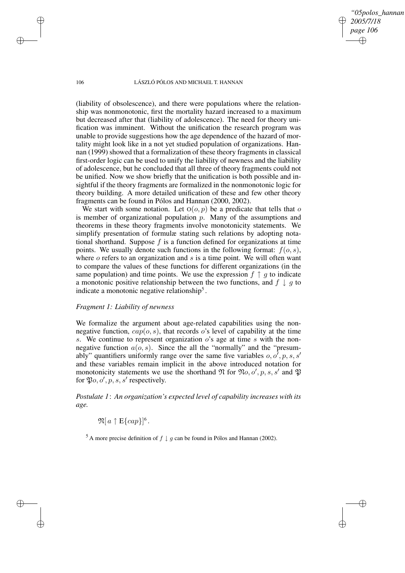*"05polos\_hannan" 2005/7/18 page 106* ✐ ✐

✐

✐

#### 106 LÁSZLÓ PÓLOS AND MICHAEL T. HANNAN

(liability of obsolescence), and there were populations where the relationship was nonmonotonic, first the mortality hazard increased to a maximum but decreased after that (liability of adolescence). The need for theory unification was imminent. Without the unification the research program was unable to provide suggestions how the age dependence of the hazard of mortality might look like in a not yet studied population of organizations. Hannan (1999) showed that a formalization of these theory fragments in classical first-order logic can be used to unify the liability of newness and the liability of adolescence, but he concluded that all three of theory fragments could not be unified. Now we show briefly that the unification is both possible and insightful if the theory fragments are formalized in the nonmonotonic logic for theory building. A more detailed unification of these and few other theory fragments can be found in Pólos and Hannan (2000, 2002).

We start with some notation. Let  $O(O, p)$  be a predicate that tells that o is member of organizational population  $p$ . Many of the assumptions and theorems in these theory fragments involve monotonicity statements. We simplify presentation of formulæ stating such relations by adopting notational shorthand. Suppose  $f$  is a function defined for organizations at time points. We usually denote such functions in the following format:  $f(o, s)$ , where  $o$  refers to an organization and  $s$  is a time point. We will often want to compare the values of these functions for different organizations (in the same population) and time points. We use the expression  $f \uparrow q$  to indicate a monotonic positive relationship between the two functions, and  $f \downarrow g$  to indicate a monotonic negative relationship<sup>5</sup>.

## *Fragment 1: Liability of newness*

We formalize the argument about age-related capabilities using the nonnegative function,  $cap(o, s)$ , that records o's level of capability at the time s. We continue to represent organization  $\overrightarrow{o}$  age at time s with the nonnegative function  $a(o, s)$ . Since the all the "normally" and the "presumably" quantifiers uniformly range over the same five variables  $o, o^7, p, s, s'$ and these variables remain implicit in the above introduced notation for monotonicity statements we use the shorthand  $\mathfrak N$  for  $\mathfrak N$ *o*, *o'*, *p*, *s*, *s'* and  $\mathfrak P$ for  $\mathfrak{P}_o, o', p, s, s'$  respectively.

*Postulate 1*: *An organization's expected level of capability increases with its age.*

 $\mathfrak{N}[a \restriction \mathrm{E}\{cap\}]^6$ .

<sup>5</sup> A more precise definition of  $f \downarrow g$  can be found in Pólos and Hannan (2002).

 $\rightarrow$ 

 $\rightarrow$ 

✐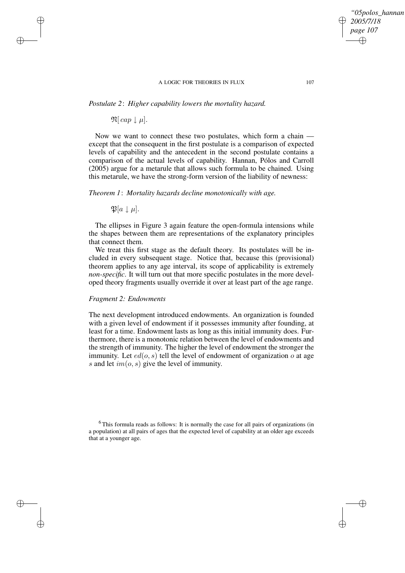*Postulate 2*: *Higher capability lowers the mortality hazard.*

 $\mathfrak{N}[\textit{cap} \downarrow \mu].$ 

 $\rightarrow$ 

 $\rightarrow$ 

✐

✐

Now we want to connect these two postulates, which form a chain except that the consequent in the first postulate is a comparison of expected levels of capability and the antecedent in the second postulate contains a comparison of the actual levels of capability. Hannan, Pólos and Carroll (2005) argue for a metarule that allows such formula to be chained. Using this metarule, we have the strong-form version of the liability of newness:

*Theorem 1*: *Mortality hazards decline monotonically with age.*

 $\mathfrak{P}[a \downarrow \mu].$ 

The ellipses in Figure 3 again feature the open-formula intensions while the shapes between them are representations of the explanatory principles that connect them.

We treat this first stage as the default theory. Its postulates will be included in every subsequent stage. Notice that, because this (provisional) theorem applies to any age interval, its scope of applicability is extremely *non-specific*. It will turn out that more specific postulates in the more developed theory fragments usually override it over at least part of the age range.

## *Fragment 2: Endowments*

The next development introduced endowments. An organization is founded with a given level of endowment if it possesses immunity after founding, at least for a time. Endowment lasts as long as this initial immunity does. Furthermore, there is a monotonic relation between the level of endowments and the strength of immunity. The higher the level of endowment the stronger the immunity. Let  $ed(o, s)$  tell the level of endowment of organization o at age s and let  $im(o, s)$  give the level of immunity.

 $6$ This formula reads as follows: It is normally the case for all pairs of organizations (in a population) at all pairs of ages that the expected level of capability at an older age exceeds that at a younger age.

*"05polos\_hannan"*

*2005/7/18 page 107*

✐

✐

✐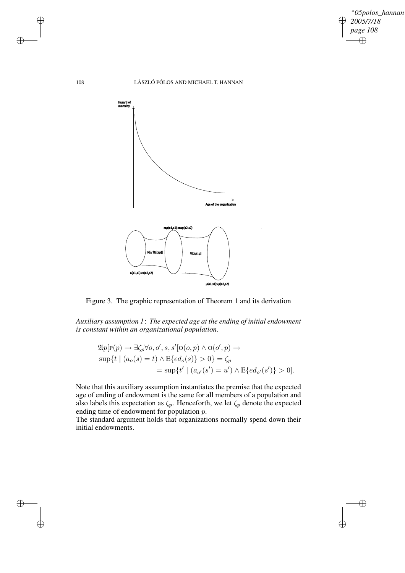

✐

✐

## 108 LÁSZLÓ PÓLOS AND MICHAEL T. HANNAN



Figure 3. The graphic representation of Theorem 1 and its derivation

*Auxiliary assumption 1*: *The expected age at the ending of initial endowment is constant within an organizational population.*

$$
\mathfrak{A}p[\mathbf{P}(p) \to \exists \zeta_p \forall o, o', s, s'[\mathbf{O}(o, p) \land \mathbf{O}(o', p) \to
$$
  
\n
$$
\sup\{t \mid (a_o(s) = t) \land \mathbf{E}\{ed_o(s)\} > 0\} = \zeta_p
$$
  
\n
$$
= \sup\{t' \mid (a_{o'}(s') = u') \land \mathbf{E}\{ed_{o'}(s')\} > 0\}.
$$

Note that this auxiliary assumption instantiates the premise that the expected age of ending of endowment is the same for all members of a population and also labels this expectation as  $\zeta_p$ . Henceforth, we let  $\zeta_p$  denote the expected ending time of endowment for population  $p$ .

The standard argument holds that organizations normally spend down their initial endowments.

 $\rightarrow$ 

 $\rightarrow$ 

✐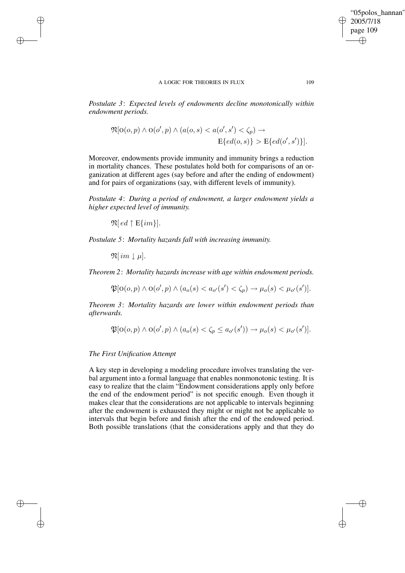*Postulate 3*: *Expected levels of endowments decline monotonically within endowment periods.*

$$
\mathfrak{N}[\mathcal{O}(o, p) \land \mathcal{O}(o', p) \land (a(o, s) < a(o', s') < \zeta_p) \rightarrow \\
\mathbb{E}\lbrace ed(o, s) \rbrace > \mathbb{E}\lbrace ed(o', s') \rbrace].
$$

Moreover, endowments provide immunity and immunity brings a reduction in mortality chances. These postulates hold both for comparisons of an organization at different ages (say before and after the ending of endowment) and for pairs of organizations (say, with different levels of immunity).

*Postulate 4*: *During a period of endowment, a larger endowment yields a higher expected level of immunity.*

 $\mathfrak{N}[ ed \uparrow \mathbf{E}\{im\}].$ 

*Postulate 5*: *Mortality hazards fall with increasing immunity.*

 $\mathfrak{N}[im \downarrow \mu].$ 

 $\rightarrow$ 

 $\rightarrow$ 

✐

✐

*Theorem 2*: *Mortality hazards increase with age within endowment periods.*

 $\mathfrak{P}[\textbf{o}(o, p) \land \textbf{o}(o', p) \land (a_o(s) < a_{o'}(s') < \zeta_p) \to \mu_o(s) < \mu_{o'}(s')].$ 

*Theorem 3*: *Mortality hazards are lower within endowment periods than afterwards.*

 $\mathfrak{P}[\textbf{o}(o, p) \land \textbf{o}(o', p) \land (a_o(s) < \zeta_p \leq a_{o'}(s')) \rightarrow \mu_o(s) < \mu_{o'}(s')].$ 

## *The First Unification Attempt*

A key step in developing a modeling procedure involves translating the verbal argument into a formal language that enables nonmonotonic testing. It is easy to realize that the claim "Endowment considerations apply only before the end of the endowment period" is not specific enough. Even though it makes clear that the considerations are not applicable to intervals beginning after the endowment is exhausted they might or might not be applicable to intervals that begin before and finish after the end of the endowed period. Both possible translations (that the considerations apply and that they do "05polos\_hannan"

2005/7/18 page 109

✐

✐

✐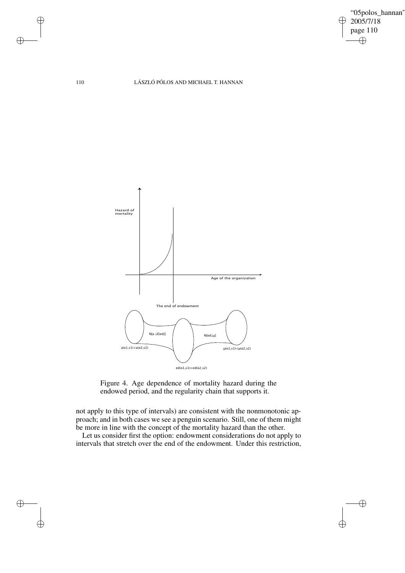"05polos\_hannan"  $\geq 2005/7/18$ page 110  $\bigoplus$ 

✐

 $\oplus$ 

110 LÁSZLÓ PÓLOS AND MICHAEL T. HANNAN





not apply to this type of intervals) are consistent with the nonmonotonic approach; and in both cases we see a penguin scenario. Still, one of them might be more in line with the concept of the mortality hazard than the other.

Let us consider first the option: endowment considerations do not apply to intervals that stretch over the end of the endowment. Under this restriction,

 $\bigoplus$ 

 $\bigoplus$ 

✐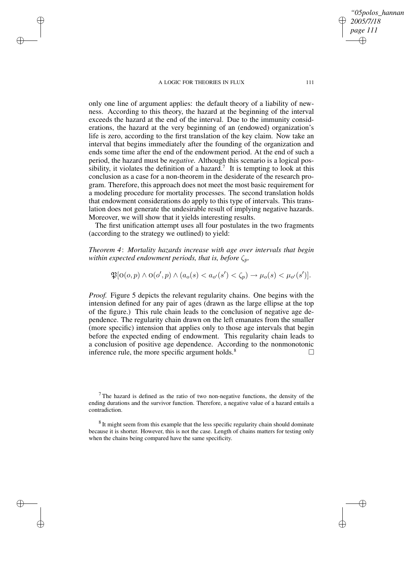✐

✐

✐

✐

only one line of argument applies: the default theory of a liability of newness. According to this theory, the hazard at the beginning of the interval exceeds the hazard at the end of the interval. Due to the immunity considerations, the hazard at the very beginning of an (endowed) organization's life is zero, according to the first translation of the key claim. Now take an interval that begins immediately after the founding of the organization and ends some time after the end of the endowment period. At the end of such a period, the hazard must be *negative.* Although this scenario is a logical possibility, it violates the definition of a hazard.<sup>7</sup> It is tempting to look at this conclusion as a case for a non-theorem in the desiderate of the research program. Therefore, this approach does not meet the most basic requirement for a modeling procedure for mortality processes. The second translation holds that endowment considerations do apply to this type of intervals. This translation does not generate the undesirable result of implying negative hazards. Moreover, we will show that it yields interesting results.

The first unification attempt uses all four postulates in the two fragments (according to the strategy we outlined) to yield:

*Theorem 4*: *Mortality hazards increase with age over intervals that begin within expected endowment periods, that is, before*  $\zeta_p$ *.* 

$$
\mathfrak{P}[\operatorname{O}(o, p) \wedge \operatorname{O}(o', p) \wedge (a_o(s) < a_{o'}(s') < \zeta_p) \rightarrow \mu_o(s) < \mu_{o'}(s')].
$$

*Proof.* Figure 5 depicts the relevant regularity chains. One begins with the intension defined for any pair of ages (drawn as the large ellipse at the top of the figure.) This rule chain leads to the conclusion of negative age dependence. The regularity chain drawn on the left emanates from the smaller (more specific) intension that applies only to those age intervals that begin before the expected ending of endowment. This regularity chain leads to a conclusion of positive age dependence. According to the nonmonotonic inference rule, the more specific argument holds. $8 \Box$ 

*"05polos\_hannan"*

*2005/7/18 page 111*

✐

✐

✐

 $7$ The hazard is defined as the ratio of two non-negative functions, the density of the ending durations and the survivor function. Therefore, a negative value of a hazard entails a contradiction.

 $8$  It might seem from this example that the less specific regularity chain should dominate because it is shorter. However, this is not the case. Length of chains matters for testing only when the chains being compared have the same specificity.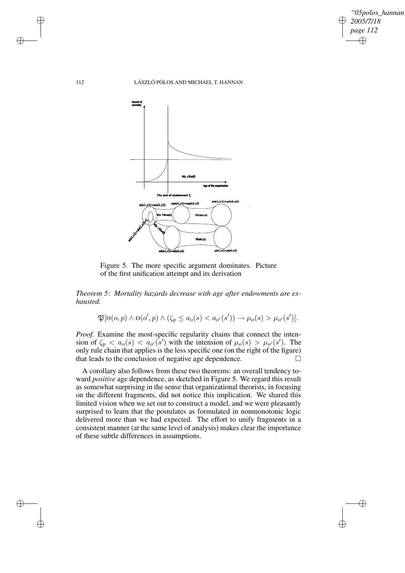*"05polos\_hannan" 2005/7/18 page 112* ✐ ✐

✐

✐

#### 112 LÁSZLÓ PÓLOS AND MICHAEL T. HANNAN



Figure 5. The more specific argument dominates. Picture of the first unification attempt and its derivation

*Theorem 5*: *Mortality hazards decrease with age after endowments are exhausted.*

 $\mathfrak{P}[\text{O}(o, p) \land \text{O}(o', p) \land (\zeta_p \leq a_o(s) < a_{o'}(s')) \rightarrow \mu_o(s) > \mu_{o'}(s')].$ 

*Proof.* Examine the most-specific regularity chains that connect the intension of  $\zeta_p < a_o(s) < a_{o'}(s')$  with the intension of  $\mu_o(s) > \mu_{o'}(s')$ . The only rule chain that applies is the less specific one (on the right of the figure) that leads to the conclusion of negative age dependence.

A corollary also follows from these two theorems: an overall tendency toward *positive* age dependence, as sketched in Figure 5. We regard this result as somewhat surprising in the sense that organizational theorists, in focusing on the different fragments, did not notice this implication. We shared this limited vision when we set out to construct a model, and we were pleasantly surprised to learn that the postulates as formulated in nonmonotonic logic delivered more than we had expected. The effort to unify fragments in a consistent manner (at the same level of analysis) makes clear the importance of these subtle differences in assumptions.

✐

✐

✐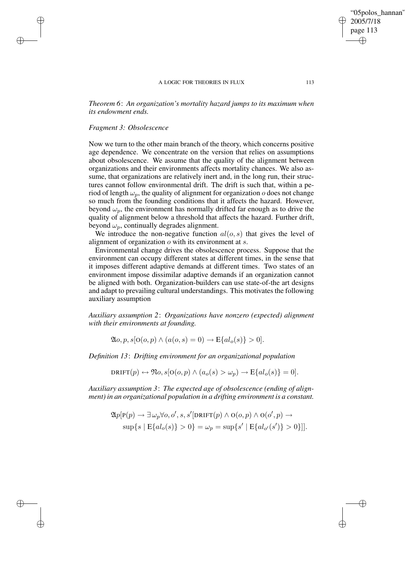*Theorem 6*: *An organization's mortality hazard jumps to its maximum when its endowment ends.*

## *Fragment 3: Obsolescence*

✐

✐

✐

✐

Now we turn to the other main branch of the theory, which concerns positive age dependence. We concentrate on the version that relies on assumptions about obsolescence. We assume that the quality of the alignment between organizations and their environments affects mortality chances. We also assume, that organizations are relatively inert and, in the long run, their structures cannot follow environmental drift. The drift is such that, within a period of length  $\omega_p$ , the quality of alignment for organization o does not change so much from the founding conditions that it affects the hazard. However, beyond  $\omega_p$ , the environment has normally drifted far enough as to drive the quality of alignment below a threshold that affects the hazard. Further drift, beyond  $\omega_p$ , continually degrades alignment.

We introduce the non-negative function  $al(o, s)$  that gives the level of alignment of organization  $o$  with its environment at  $s$ .

Environmental change drives the obsolescence process. Suppose that the environment can occupy different states at different times, in the sense that it imposes different adaptive demands at different times. Two states of an environment impose dissimilar adaptive demands if an organization cannot be aligned with both. Organization-builders can use state-of-the art designs and adapt to prevailing cultural understandings. This motivates the following auxiliary assumption

*Auxiliary assumption 2*: *Organizations have nonzero (expected) alignment with their environments at founding.*

 $\mathfrak{A}_{0}$ ,  $p, s[0(0, p) \wedge (a(0, s) = 0) \rightarrow E{a l_o(s)} > 0].$ 

*Definition 13*: *Drifting environment for an organizational population*

 $DRIFT(p) \leftrightarrow \mathfrak{N}_0, s[0(a, p) \wedge (a_0(s) > \omega_n) \to \mathbb{E}\{al_o(s)\} = 0].$ 

*Auxiliary assumption 3*: *The expected age of obsolescence (ending of alignment) in an organizational population in a drifting environment is a constant.*

$$
\mathfrak{A}p[\mathbf{P}(p) \to \exists \omega_p \forall o, o', s, s'[\text{DRIFT}(p) \land \mathbf{O}(o, p) \land \mathbf{O}(o', p) \to
$$
  
 
$$
\sup\{s \mid \mathbf{E}\{al_o(s)\} > 0\} = \omega_p = \sup\{s' \mid \mathbf{E}\{al_{o'}(s')\} > 0\}].
$$

"05polos\_hannan"

2005/7/18 page 113

✐

✐

✐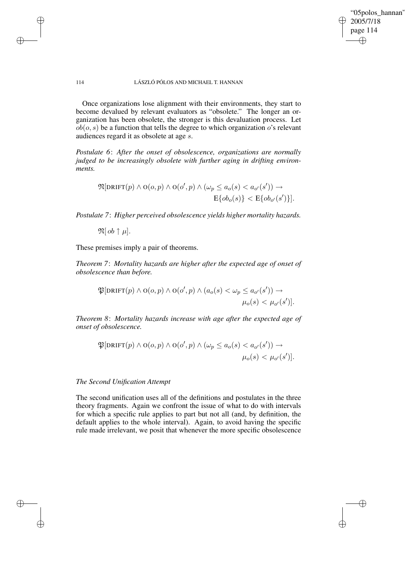"05polos\_hannan" 2005/7/18 page 114 ✐ ✐

✐

✐

## 114 LÁSZLÓ PÓLOS AND MICHAEL T. HANNAN

Once organizations lose alignment with their environments, they start to become devalued by relevant evaluators as "obsolete." The longer an organization has been obsolete, the stronger is this devaluation process. Let  $ob(o, s)$  be a function that tells the degree to which organization o's relevant audiences regard it as obsolete at age s.

*Postulate 6*: *After the onset of obsolescence, organizations are normally judged to be increasingly obsolete with further aging in drifting environments.*

$$
\mathfrak{N}[\text{DRIFT}(p) \land \text{O}(o, p) \land \text{O}(o', p) \land (\omega_p \le a_o(s) < a_{o'}(s')) \rightarrow
$$
  
 
$$
E\{ob_o(s)\} < E\{ob_{o'}(s')\}].
$$

*Postulate 7*: *Higher perceived obsolescence yields higher mortality hazards.*

 $\mathfrak{N}[\,ob\uparrow\mu].$ 

✐

✐

✐

✐

These premises imply a pair of theorems.

*Theorem 7*: *Mortality hazards are higher after the expected age of onset of obsolescence than before.*

$$
\mathfrak{P}[\text{DRIFT}(p) \land \text{O}(o, p) \land \text{O}(o', p) \land (a_o(s) < \omega_p \le a_{o'}(s')) \rightarrow \mu_o(s) < \mu_{o'}(s')].
$$

*Theorem 8*: *Mortality hazards increase with age after the expected age of onset of obsolescence.*

$$
\mathfrak{P}[\text{DRIFT}(p) \land \text{O}(o, p) \land \text{O}(o', p) \land (\omega_p \le a_o(s) < a_{o'}(s')) \rightarrow \mu_o(s) < \mu_{o'}(s')].
$$

*The Second Unification Attempt*

The second unification uses all of the definitions and postulates in the three theory fragments. Again we confront the issue of what to do with intervals for which a specific rule applies to part but not all (and, by definition, the default applies to the whole interval). Again, to avoid having the specific rule made irrelevant, we posit that whenever the more specific obsolescence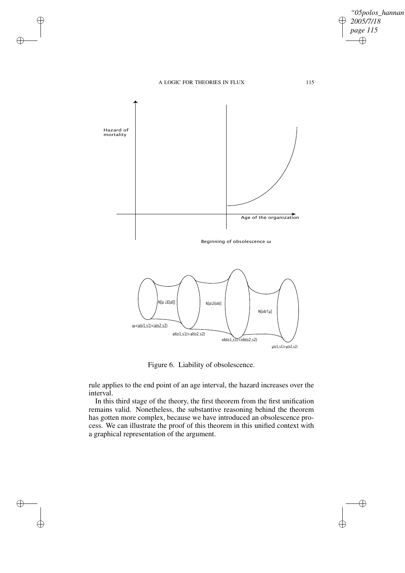

Beginning of obsolescence ω



Figure 6. Liability of obsolescence.

rule applies to the end point of an age interval, the hazard increases over the interval.

In this third stage of the theory, the first theorem from the first unification remains valid. Nonetheless, the substantive reasoning behind the theorem has gotten more complex, because we have introduced an obsolescence process. We can illustrate the proof of this theorem in this unified context with a graphical representation of the argument.

✐

 $\oplus$ 

 $\bigoplus$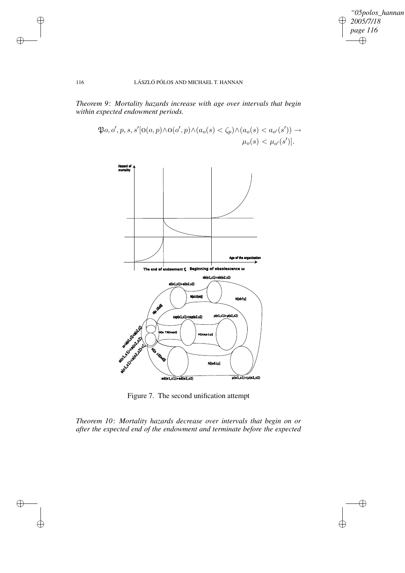*"05polos\_hannan" 2005/7/18* ✐ *page 116*  $\bigoplus$ 

 $\bigoplus$ 

 $\oplus$ 

## 116 LÁSZLÓ PÓLOS AND MICHAEL T. HANNAN

✐

 $\bigoplus$ 

 $\oplus$ 

✐

*Theorem 9*: *Mortality hazards increase with age over intervals that begin within expected endowment periods.*



Figure 7. The second unification attempt

*Theorem 10*: *Mortality hazards decrease over intervals that begin on or after the expected end of the endowment and terminate before the expected*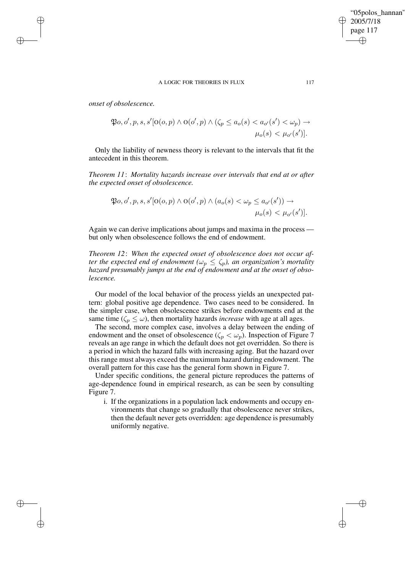*onset of obsolescence.*

✐

✐

✐

✐

$$
\mathfrak{P}_o, o', p, s, s' [O(o, p) \land O(o', p) \land (\zeta_p \le a_o(s) < a_{o'}(s') < \omega_p) \rightarrow \mu_o(s) < \mu_{o'}(s')].
$$

Only the liability of newness theory is relevant to the intervals that fit the antecedent in this theorem.

*Theorem 11*: *Mortality hazards increase over intervals that end at or after the expected onset of obsolescence.*

$$
\mathfrak{P}_o, o', p, s, s' [O(o, p) \land O(o', p) \land (a_o(s) < \omega_p \le a_{o'}(s')) \rightarrow \mu_o(s) < \mu_{o'}(s')].
$$

Again we can derive implications about jumps and maxima in the process but only when obsolescence follows the end of endowment.

*Theorem 12*: *When the expected onset of obsolescence does not occur after the expected end of endowment*  $(\omega_p \leq \zeta_p)$ , *an organization's mortality hazard presumably jumps at the end of endowment and at the onset of obsolescence.*

Our model of the local behavior of the process yields an unexpected pattern: global positive age dependence. Two cases need to be considered. In the simpler case, when obsolescence strikes before endowments end at the same time ( $\zeta_p \leq \omega$ ), then mortality hazards *increase* with age at all ages.

The second, more complex case, involves a delay between the ending of endowment and the onset of obsolescence ( $\zeta_p < \omega_p$ ). Inspection of Figure 7 reveals an age range in which the default does not get overridden. So there is a period in which the hazard falls with increasing aging. But the hazard over this range must always exceed the maximum hazard during endowment. The overall pattern for this case has the general form shown in Figure 7.

Under specific conditions, the general picture reproduces the patterns of age-dependence found in empirical research, as can be seen by consulting Figure 7.

i. If the organizations in a population lack endowments and occupy environments that change so gradually that obsolescence never strikes, then the default never gets overridden: age dependence is presumably uniformly negative.

"05polos\_hannan"

2005/7/18 page 117

✐

✐

✐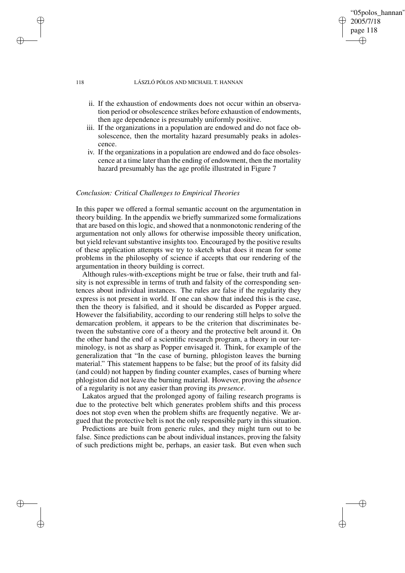# page 118 ✐

✐

2005/7/18

✐

✐

"05polos\_hannan"

## 118 LÁSZLÓ PÓLOS AND MICHAEL T. HANNAN

- ii. If the exhaustion of endowments does not occur within an observation period or obsolescence strikes before exhaustion of endowments, then age dependence is presumably uniformly positive.
- iii. If the organizations in a population are endowed and do not face obsolescence, then the mortality hazard presumably peaks in adolescence.
- iv. If the organizations in a population are endowed and do face obsolescence at a time later than the ending of endowment, then the mortality hazard presumably has the age profile illustrated in Figure 7

## *Conclusion: Critical Challenges to Empirical Theories*

In this paper we offered a formal semantic account on the argumentation in theory building. In the appendix we briefly summarized some formalizations that are based on this logic, and showed that a nonmonotonic rendering of the argumentation not only allows for otherwise impossible theory unification, but yield relevant substantive insights too. Encouraged by the positive results of these application attempts we try to sketch what does it mean for some problems in the philosophy of science if accepts that our rendering of the argumentation in theory building is correct.

Although rules-with-exceptions might be true or false, their truth and falsity is not expressible in terms of truth and falsity of the corresponding sentences about individual instances. The rules are false if the regularity they express is not present in world. If one can show that indeed this is the case, then the theory is falsified, and it should be discarded as Popper argued. However the falsifiability, according to our rendering still helps to solve the demarcation problem, it appears to be the criterion that discriminates between the substantive core of a theory and the protective belt around it. On the other hand the end of a scientific research program, a theory in our terminology, is not as sharp as Popper envisaged it. Think, for example of the generalization that "In the case of burning, phlogiston leaves the burning material." This statement happens to be false; but the proof of its falsity did (and could) not happen by finding counter examples, cases of burning where phlogiston did not leave the burning material. However, proving the *absence* of a regularity is not any easier than proving its *presence*.

Lakatos argued that the prolonged agony of failing research programs is due to the protective belt which generates problem shifts and this process does not stop even when the problem shifts are frequently negative. We argued that the protective belt is not the only responsible party in this situation.

Predictions are built from generic rules, and they might turn out to be false. Since predictions can be about individual instances, proving the falsity of such predictions might be, perhaps, an easier task. But even when such

✐

✐

✐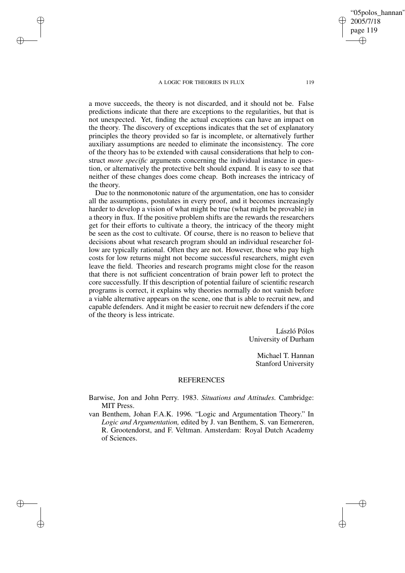✐

✐

✐

✐

a move succeeds, the theory is not discarded, and it should not be. False predictions indicate that there are exceptions to the regularities, but that is not unexpected. Yet, finding the actual exceptions can have an impact on the theory. The discovery of exceptions indicates that the set of explanatory principles the theory provided so far is incomplete, or alternatively further auxiliary assumptions are needed to eliminate the inconsistency. The core of the theory has to be extended with causal considerations that help to construct *more specific* arguments concerning the individual instance in question, or alternatively the protective belt should expand. It is easy to see that

the theory. Due to the nonmonotonic nature of the argumentation, one has to consider all the assumptions, postulates in every proof, and it becomes increasingly harder to develop a vision of what might be true (what might be provable) in a theory in flux. If the positive problem shifts are the rewards the researchers get for their efforts to cultivate a theory, the intricacy of the theory might be seen as the cost to cultivate. Of course, there is no reason to believe that decisions about what research program should an individual researcher follow are typically rational. Often they are not. However, those who pay high costs for low returns might not become successful researchers, might even leave the field. Theories and research programs might close for the reason that there is not sufficient concentration of brain power left to protect the core successfully. If this description of potential failure of scientific research programs is correct, it explains why theories normally do not vanish before a viable alternative appears on the scene, one that is able to recruit new, and capable defenders. And it might be easier to recruit new defenders if the core of the theory is less intricate.

neither of these changes does come cheap. Both increases the intricacy of

László Pólos University of Durham

> Michael T. Hannan Stanford University

## REFERENCES

- Barwise, Jon and John Perry. 1983. *Situations and Attitudes.* Cambridge: MIT Press.
- van Benthem, Johan F.A.K. 1996. "Logic and Argumentation Theory." In *Logic and Argumentation,* edited by J. van Benthem, S. van Eemereren, R. Grootendorst, and F. Veltman. Amsterdam: Royal Dutch Academy of Sciences.

"05polos\_hannan" 2005/7/18 page 119 ✐ ✐

✐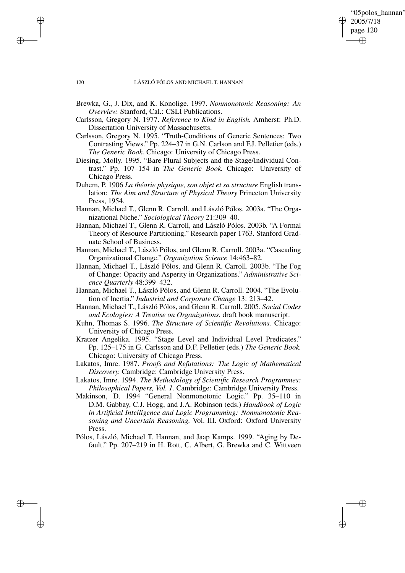✐

✐

#### 120 LÁSZLÓ PÓLOS AND MICHAEL T. HANNAN

✐

✐

✐

- Brewka, G., J. Dix, and K. Konolige. 1997. *Nonmonotonic Reasoning: An Overview.* Stanford, Cal.: CSLI Publications.
- Carlsson, Gregory N. 1977. *Reference to Kind in English.* Amherst: Ph.D. Dissertation University of Massachusetts.
- Carlsson, Gregory N. 1995. "Truth-Conditions of Generic Sentences: Two Contrasting Views." Pp. 224–37 in G.N. Carlson and F.J. Pelletier (eds.) *The Generic Book.* Chicago: University of Chicago Press.
- Diesing, Molly. 1995. "Bare Plural Subjects and the Stage/Individual Contrast." Pp. 107–154 in *The Generic Book.* Chicago: University of Chicago Press.
- Duhem, P. 1906 *La théorie physique, son objet et sa structure* English translation: *The Aim and Structure of Physical Theory* Princeton University Press, 1954.
- Hannan, Michael T., Glenn R. Carroll, and László Pólos. 2003a. "The Organizational Niche." *Sociological Theory* 21:309–40.
- Hannan, Michael T., Glenn R. Carroll, and László Pólos. 2003b. "A Formal Theory of Resource Partitioning." Research paper 1763. Stanford Graduate School of Business.
- Hannan, Michael T., László Pólos, and Glenn R. Carroll. 2003a. "Cascading Organizational Change." *Organization Science* 14:463–82.
- Hannan, Michael T., László Pólos, and Glenn R. Carroll. 2003b. "The Fog of Change: Opacity and Asperity in Organizations." *Administrative Science Quarterly* 48:399–432.
- Hannan, Michael T., László Pólos, and Glenn R. Carroll. 2004. "The Evolution of Inertia." *Industrial and Corporate Change* 13: 213–42.
- Hannan, Michael T., László Pólos, and Glenn R. Carroll. 2005. *Social Codes and Ecologies: A Treatise on Organizations.* draft book manuscript.
- Kuhn, Thomas S. 1996. *The Structure of Scientific Revolutions.* Chicago: University of Chicago Press.
- Kratzer Angelika. 1995. "Stage Level and Individual Level Predicates." Pp. 125–175 in G. Carlsson and D.F. Pelletier (eds.) *The Generic Book.* Chicago: University of Chicago Press.
- Lakatos, Imre. 1987. *Proofs and Refutations: The Logic of Mathematical Discovery.* Cambridge: Cambridge University Press.
- Lakatos, Imre. 1994. *The Methodology of Scientific Research Programmes: Philosophical Papers, Vol. 1.* Cambridge: Cambridge University Press.
- Makinson, D. 1994 "General Nonmonotonic Logic." Pp. 35–110 in D.M. Gabbay, C.J. Hogg, and J.A. Robinson (eds.) *Handbook of Logic in Artificial Intelligence and Logic Programming: Nonmonotonic Reasoning and Uncertain Reasoning.* Vol. III. Oxford: Oxford University Press.
- Pólos, László, Michael T. Hannan, and Jaap Kamps. 1999. "Aging by Default." Pp. 207–219 in H. Rott, C. Albert, G. Brewka and C. Wittveen